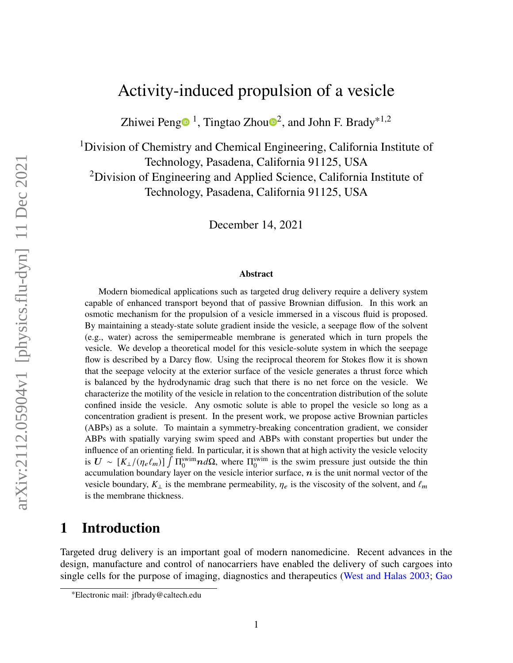## Activity-induced propulsion of a vesicle

Zhiwei Pen[g](https://orcid.org/0000-0002-9486-2837) $\bullet$  $\bullet$  $\bullet$ <sup>1</sup>, Tingtao Zhou $\bullet$ <sup>2</sup>, and John F. Brady<sup>\*1,2</sup>

<sup>1</sup>Division of Chemistry and Chemical Engineering, California Institute of Technology, Pasadena, California 91125, USA <sup>2</sup>Division of Engineering and Applied Science, California Institute of Technology, Pasadena, California 91125, USA

December 14, 2021

#### **Abstract**

Modern biomedical applications such as targeted drug delivery require a delivery system capable of enhanced transport beyond that of passive Brownian diffusion. In this work an osmotic mechanism for the propulsion of a vesicle immersed in a viscous fluid is proposed. By maintaining a steady-state solute gradient inside the vesicle, a seepage flow of the solvent (e.g., water) across the semipermeable membrane is generated which in turn propels the vesicle. We develop a theoretical model for this vesicle-solute system in which the seepage flow is described by a Darcy flow. Using the reciprocal theorem for Stokes flow it is shown that the seepage velocity at the exterior surface of the vesicle generates a thrust force which is balanced by the hydrodynamic drag such that there is no net force on the vesicle. We characterize the motility of the vesicle in relation to the concentration distribution of the solute confined inside the vesicle. Any osmotic solute is able to propel the vesicle so long as a concentration gradient is present. In the present work, we propose active Brownian particles (ABPs) as a solute. To maintain a symmetry-breaking concentration gradient, we consider ABPs with spatially varying swim speed and ABPs with constant properties but under the influence of an orienting field. In particular, it is shown that at high activity the vesicle velocity is  $U \sim [K_{\perp}/(\eta_e \ell_m)] \int \Pi_0^{\text{swim}} n d\Omega$ , where  $\Pi_0^{\text{swim}}$  is the swim pressure just outside the thin accumulation boundary layer on the vesicle interior surface,  $n$  is the unit normal vector of the vesicle boundary,  $K_{\perp}$  is the membrane permeability,  $\eta_e$  is the viscosity of the solvent, and  $\ell_m$ is the membrane thickness.

### <span id="page-0-0"></span>**1 Introduction**

Targeted drug delivery is an important goal of modern nanomedicine. Recent advances in the design, manufacture and control of nanocarriers have enabled the delivery of such cargoes into single cells for the purpose of imaging, diagnostics and therapeutics [\(West and Halas](#page-30-0) [2003;](#page-30-0) [Gao](#page-28-0)

<sup>∗</sup>[Electronic mail: jfbrady@caltech.edu](#page-28-0)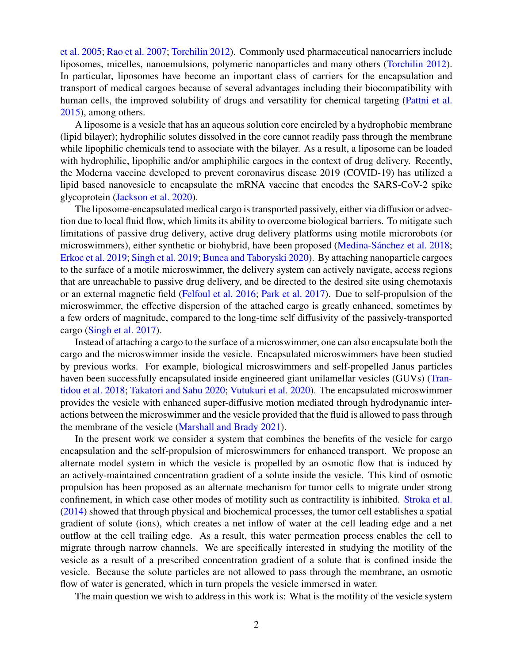[et al.](#page-28-0) [2005;](#page-28-0) [Rao et al.](#page-29-0) [2007;](#page-29-0) [Torchilin](#page-30-1) [2012\)](#page-30-1). Commonly used pharmaceutical nanocarriers include liposomes, micelles, nanoemulsions, polymeric nanoparticles and many others [\(Torchilin](#page-30-1) [2012\)](#page-30-1). In particular, liposomes have become an important class of carriers for the encapsulation and transport of medical cargoes because of several advantages including their biocompatibility with human cells, the improved solubility of drugs and versatility for chemical targeting [\(Pattni et al.](#page-29-1) [2015\)](#page-29-1), among others.

A liposome is a vesicle that has an aqueous solution core encircled by a hydrophobic membrane (lipid bilayer); hydrophilic solutes dissolved in the core cannot readily pass through the membrane while lipophilic chemicals tend to associate with the bilayer. As a result, a liposome can be loaded with hydrophilic, lipophilic and/or amphiphilic cargoes in the context of drug delivery. Recently, the Moderna vaccine developed to prevent coronavirus disease 2019 (COVID-19) has utilized a lipid based nanovesicle to encapsulate the mRNA vaccine that encodes the SARS-CoV-2 spike glycoprotein [\(Jackson et al.](#page-28-1) [2020\)](#page-28-1).

The liposome-encapsulated medical cargo is transported passively, either via diffusion or advection due to local fluid flow, which limits its ability to overcome biological barriers. To mitigate such limitations of passive drug delivery, active drug delivery platforms using motile microrobots (or microswimmers), either synthetic or biohybrid, have been proposed [\(Medina-Sánchez et al.](#page-29-2) [2018;](#page-29-2) [Erkoc et al.](#page-28-2) [2019;](#page-28-2) [Singh et al.](#page-29-3) [2019;](#page-29-3) [Bunea and Taboryski](#page-27-0) [2020\)](#page-27-0). By attaching nanoparticle cargoes to the surface of a motile microswimmer, the delivery system can actively navigate, access regions that are unreachable to passive drug delivery, and be directed to the desired site using chemotaxis or an external magnetic field [\(Felfoul et al.](#page-28-3) [2016;](#page-28-3) [Park et al.](#page-29-4) [2017\)](#page-29-4). Due to self-propulsion of the microswimmer, the effective dispersion of the attached cargo is greatly enhanced, sometimes by a few orders of magnitude, compared to the long-time self diffusivity of the passively-transported cargo [\(Singh et al.](#page-29-5) [2017\)](#page-29-5).

Instead of attaching a cargo to the surface of a microswimmer, one can also encapsulate both the cargo and the microswimmer inside the vesicle. Encapsulated microswimmers have been studied by previous works. For example, biological microswimmers and self-propelled Janus particles haven been successfully encapsulated inside engineered giant unilamellar vesicles (GUVs) [\(Tran](#page-30-2)[tidou et al.](#page-30-2) [2018;](#page-30-2) [Takatori and Sahu](#page-30-3) [2020;](#page-30-3) [Vutukuri et al.](#page-30-4) [2020\)](#page-30-4). The encapsulated microswimmer provides the vesicle with enhanced super-diffusive motion mediated through hydrodynamic interactions between the microswimmer and the vesicle provided that the fluid is allowed to pass through the membrane of the vesicle [\(Marshall and Brady](#page-29-6) [2021\)](#page-29-6).

In the present work we consider a system that combines the benefits of the vesicle for cargo encapsulation and the self-propulsion of microswimmers for enhanced transport. We propose an alternate model system in which the vesicle is propelled by an osmotic flow that is induced by an actively-maintained concentration gradient of a solute inside the vesicle. This kind of osmotic propulsion has been proposed as an alternate mechanism for tumor cells to migrate under strong confinement, in which case other modes of motility such as contractility is inhibited. [Stroka et al.](#page-30-5) [\(2014\)](#page-30-5) showed that through physical and biochemical processes, the tumor cell establishes a spatial gradient of solute (ions), which creates a net inflow of water at the cell leading edge and a net outflow at the cell trailing edge. As a result, this water permeation process enables the cell to migrate through narrow channels. We are specifically interested in studying the motility of the vesicle as a result of a prescribed concentration gradient of a solute that is confined inside the vesicle. Because the solute particles are not allowed to pass through the membrane, an osmotic flow of water is generated, which in turn propels the vesicle immersed in water.

The main question we wish to address in this work is: What is the motility of the vesicle system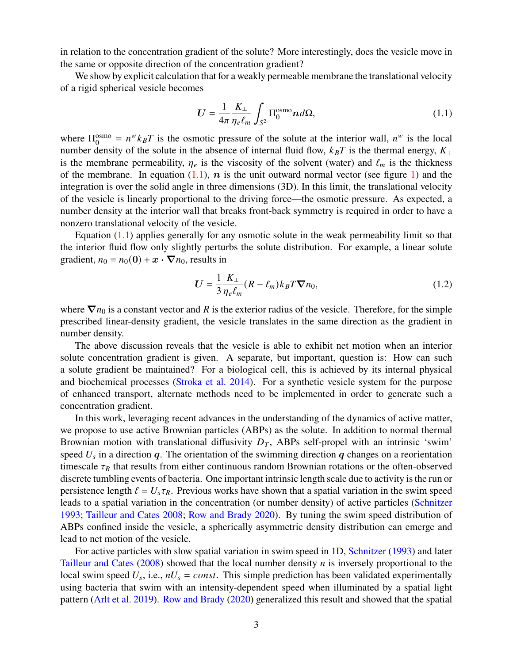in relation to the concentration gradient of the solute? More interestingly, does the vesicle move in the same or opposite direction of the concentration gradient?

We show by explicit calculation that for a weakly permeable membrane the translational velocity of a rigid spherical vesicle becomes

<span id="page-2-0"></span>
$$
U = \frac{1}{4\pi} \frac{K_{\perp}}{\eta_e \ell_m} \int_{S^2} \Pi_0^{\text{osmo}} n d\Omega, \qquad (1.1)
$$

where  $\Pi_0^{\text{osmo}}$  $0_0^{\text{osmo}} = n^w k_B T$  is the osmotic pressure of the solute at the interior wall,  $n^w$  is the local number density of the solute in the absence of internal fluid flow,  $k_B T$  is the thermal energy,  $K_{\perp}$ is the membrane permeability,  $\eta_e$  is the viscosity of the solvent (water) and  $\ell_m$  is the thickness of the membrane. In equation  $(1.1)$ , *n* is the unit outward normal vector (see figure [1\)](#page-5-0) and the integration is over the solid angle in three dimensions (3D). In this limit, the translational velocity of the vesicle is linearly proportional to the driving force—the osmotic pressure. As expected, a number density at the interior wall that breaks front-back symmetry is required in order to have a nonzero translational velocity of the vesicle.

Equation  $(1.1)$  applies generally for any osmotic solute in the weak permeability limit so that the interior fluid flow only slightly perturbs the solute distribution. For example, a linear solute gradient,  $n_0 = n_0(0) + x \cdot \nabla n_0$ , results in

<span id="page-2-1"></span>
$$
U = \frac{1}{3} \frac{K_{\perp}}{\eta_e \ell_m} (R - \ell_m) k_B T \nabla n_0,
$$
\n(1.2)

where  $\nabla n_0$  is a constant vector and R is the exterior radius of the vesicle. Therefore, for the simple prescribed linear-density gradient, the vesicle translates in the same direction as the gradient in number density.

The above discussion reveals that the vesicle is able to exhibit net motion when an interior solute concentration gradient is given. A separate, but important, question is: How can such a solute gradient be maintained? For a biological cell, this is achieved by its internal physical and biochemical processes [\(Stroka et al.](#page-30-5) [2014\)](#page-30-5). For a synthetic vesicle system for the purpose of enhanced transport, alternate methods need to be implemented in order to generate such a concentration gradient.

In this work, leveraging recent advances in the understanding of the dynamics of active matter, we propose to use active Brownian particles (ABPs) as the solute. In addition to normal thermal Brownian motion with translational diffusivity  $D_T$ , ABPs self-propel with an intrinsic 'swim' speed  $U_s$  in a direction q. The orientation of the swimming direction q changes on a reorientation timescale  $\tau_R$  that results from either continuous random Brownian rotations or the often-observed discrete tumbling events of bacteria. One important intrinsic length scale due to activity is the run or persistence length  $\ell = U_s \tau_R$ . Previous works have shown that a spatial variation in the swim speed leads to a spatial variation in the concentration (or number density) of active particles [\(Schnitzer](#page-29-7) [1993;](#page-29-7) [Tailleur and Cates](#page-30-6) [2008;](#page-30-6) [Row and Brady](#page-29-8) [2020\)](#page-29-8). By tuning the swim speed distribution of ABPs confined inside the vesicle, a spherically asymmetric density distribution can emerge and lead to net motion of the vesicle.

For active particles with slow spatial variation in swim speed in 1D, [Schnitzer](#page-29-7) [\(1993\)](#page-29-7) and later [Tailleur and Cates](#page-30-6)  $(2008)$  showed that the local number density *n* is inversely proportional to the local swim speed  $U_s$ , i.e.,  $nU_s = const.$  This simple prediction has been validated experimentally using bacteria that swim with an intensity-dependent speed when illuminated by a spatial light pattern [\(Arlt et al.](#page-27-1) [2019\)](#page-27-1). [Row and Brady](#page-29-8) [\(2020\)](#page-29-8) generalized this result and showed that the spatial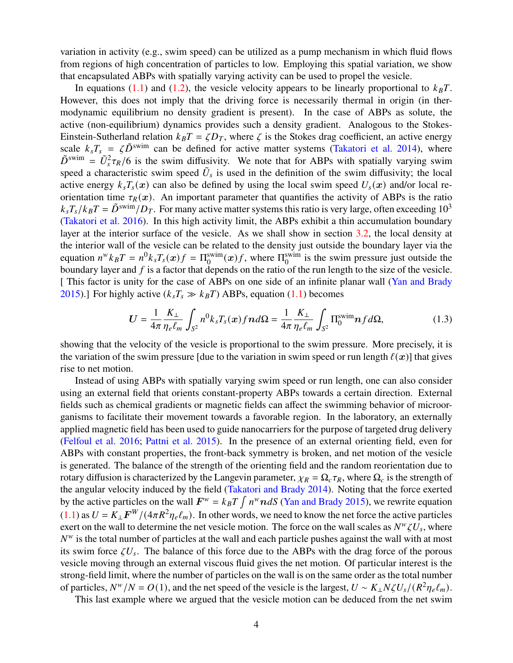variation in activity (e.g., swim speed) can be utilized as a pump mechanism in which fluid flows from regions of high concentration of particles to low. Employing this spatial variation, we show that encapsulated ABPs with spatially varying activity can be used to propel the vesicle.

In equations [\(1.1\)](#page-2-0) and [\(1.2\)](#page-2-1), the vesicle velocity appears to be linearly proportional to  $k_B T$ . However, this does not imply that the driving force is necessarily thermal in origin (in thermodynamic equilibrium no density gradient is present). In the case of ABPs as solute, the active (non-equilibrium) dynamics provides such a density gradient. Analogous to the Stokes-Einstein-Sutherland relation  $k_B T = \zeta D_T$ , where  $\zeta$  is the Stokes drag coefficient, an active energy scale  $k_s T_s = \zeta \tilde{D}^{swin}$  can be defined for active matter systems [\(Takatori et al.](#page-30-7) [2014\)](#page-30-7), where  $\tilde{D}^{swin} = \tilde{U}_s^2 \tau_R/6$  is the swim diffusivity. We note that for ABPs with spatially varying swim speed a characteristic swim speed  $\tilde{U}_s$  is used in the definition of the swim diffusivity; the local active energy  $k_s T_s(x)$  can also be defined by using the local swim speed  $U_s(x)$  and/or local reorientation time  $\tau_R(x)$ . An important parameter that quantifies the activity of ABPs is the ratio  $k_sT_s/k_BT = \tilde{D}^{\text{swim}}/D_T$ . For many active matter systems this ratio is very large, often exceeding 10<sup>3</sup> [\(Takatori et al.](#page-30-8) [2016\)](#page-30-8). In this high activity limit, the ABPs exhibit a thin accumulation boundary layer at the interior surface of the vesicle. As we shall show in section [3.2,](#page-14-0) the local density at the interior wall of the vesicle can be related to the density just outside the boundary layer via the equation  $n^w k_B T = n^0 k_s T_s(\boldsymbol{x}) f = \Pi_0^{\text{swim}}(\boldsymbol{x}) f$ , where  $\Pi_0^{\text{swim}}$  $_0^{\text{swim}}$  is the swim pressure just outside the boundary layer and  $f$  is a factor that depends on the ratio of the run length to the size of the vesicle. [ This factor is unity for the case of ABPs on one side of an infinite planar wall [\(Yan and Brady](#page-31-0) [2015\)](#page-31-0).] For highly active  $(k_sT_s \gg k_B T)$  ABPs, equation [\(1.1\)](#page-2-0) becomes

$$
U = \frac{1}{4\pi} \frac{K_{\perp}}{\eta_e \ell_m} \int_{S^2} n^0 k_s T_s(x) f \, d\Omega = \frac{1}{4\pi} \frac{K_{\perp}}{\eta_e \ell_m} \int_{S^2} \Pi_0^{\text{swim}} \, n f \, d\Omega,\tag{1.3}
$$

showing that the velocity of the vesicle is proportional to the swim pressure. More precisely, it is the variation of the swim pressure [due to the variation in swim speed or run length  $\ell(x)$ ] that gives rise to net motion.

Instead of using ABPs with spatially varying swim speed or run length, one can also consider using an external field that orients constant-property ABPs towards a certain direction. External fields such as chemical gradients or magnetic fields can affect the swimming behavior of microorganisms to facilitate their movement towards a favorable region. In the laboratory, an externally applied magnetic field has been used to guide nanocarriers for the purpose of targeted drug delivery [\(Felfoul et al.](#page-28-3) [2016;](#page-28-3) [Pattni et al.](#page-29-1) [2015\)](#page-29-1). In the presence of an external orienting field, even for ABPs with constant properties, the front-back symmetry is broken, and net motion of the vesicle is generated. The balance of the strength of the orienting field and the random reorientation due to rotary diffusion is characterized by the Langevin parameter,  $\chi_R = \Omega_c \tau_R$ , where  $\Omega_c$  is the strength of the angular velocity induced by the field [\(Takatori and Brady](#page-30-9) [2014\)](#page-30-9). Noting that the force exerted by the active particles on the wall  $F^w = k_B T \int n^w n dS$  [\(Yan and Brady](#page-31-0) [2015\)](#page-31-0), we rewrite equation  $(1.1)$  as  $U = K_{\perp} F^{W}/(4\pi R^2 \eta_e \ell_m)$ . In other words, we need to know the net force the active particles exert on the wall to determine the net vesicle motion. The force on the wall scales as  $N^w \zeta U_s$ , where  $N^w$  is the total number of particles at the wall and each particle pushes against the wall with at most its swim force  $\zeta U_s$ . The balance of this force due to the ABPs with the drag force of the porous vesicle moving through an external viscous fluid gives the net motion. Of particular interest is the strong-field limit, where the number of particles on the wall is on the same order as the total number of particles,  $N^w/N = O(1)$ , and the net speed of the vesicle is the largest,  $U \sim K_\perp N \zeta U_s / (R^2 \eta_e \ell_m)$ .

This last example where we argued that the vesicle motion can be deduced from the net swim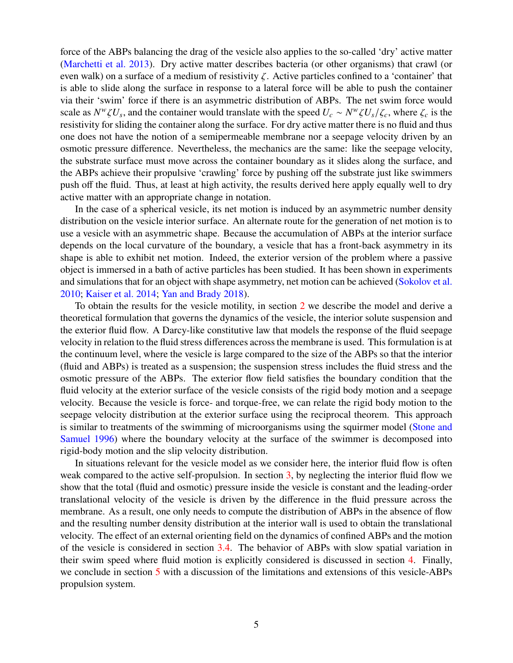force of the ABPs balancing the drag of the vesicle also applies to the so-called 'dry' active matter [\(Marchetti et al.](#page-29-9) [2013\)](#page-29-9). Dry active matter describes bacteria (or other organisms) that crawl (or even walk) on a surface of a medium of resistivity  $\zeta$ . Active particles confined to a 'container' that is able to slide along the surface in response to a lateral force will be able to push the container via their 'swim' force if there is an asymmetric distribution of ABPs. The net swim force would scale as  $N^w \zeta U_s$ , and the container would translate with the speed  $U_c \sim N^w \zeta U_s/\zeta_c$ , where  $\zeta_c$  is the resistivity for sliding the container along the surface. For dry active matter there is no fluid and thus one does not have the notion of a semipermeable membrane nor a seepage velocity driven by an osmotic pressure difference. Nevertheless, the mechanics are the same: like the seepage velocity, the substrate surface must move across the container boundary as it slides along the surface, and the ABPs achieve their propulsive 'crawling' force by pushing off the substrate just like swimmers push off the fluid. Thus, at least at high activity, the results derived here apply equally well to dry active matter with an appropriate change in notation.

In the case of a spherical vesicle, its net motion is induced by an asymmetric number density distribution on the vesicle interior surface. An alternate route for the generation of net motion is to use a vesicle with an asymmetric shape. Because the accumulation of ABPs at the interior surface depends on the local curvature of the boundary, a vesicle that has a front-back asymmetry in its shape is able to exhibit net motion. Indeed, the exterior version of the problem where a passive object is immersed in a bath of active particles has been studied. It has been shown in experiments and simulations that for an object with shape asymmetry, net motion can be achieved [\(Sokolov et al.](#page-30-10) [2010;](#page-30-10) [Kaiser et al.](#page-28-4) [2014;](#page-28-4) [Yan and Brady](#page-31-1) [2018\)](#page-31-1).

To obtain the results for the vesicle motility, in section [2](#page-5-1) we describe the model and derive a theoretical formulation that governs the dynamics of the vesicle, the interior solute suspension and the exterior fluid flow. A Darcy-like constitutive law that models the response of the fluid seepage velocity in relation to the fluid stress differences across the membrane is used. This formulation is at the continuum level, where the vesicle is large compared to the size of the ABPs so that the interior (fluid and ABPs) is treated as a suspension; the suspension stress includes the fluid stress and the osmotic pressure of the ABPs. The exterior flow field satisfies the boundary condition that the fluid velocity at the exterior surface of the vesicle consists of the rigid body motion and a seepage velocity. Because the vesicle is force- and torque-free, we can relate the rigid body motion to the seepage velocity distribution at the exterior surface using the reciprocal theorem. This approach is similar to treatments of the swimming of microorganisms using the squirmer model [\(Stone and](#page-30-11) [Samuel](#page-30-11) [1996\)](#page-30-11) where the boundary velocity at the surface of the swimmer is decomposed into rigid-body motion and the slip velocity distribution.

In situations relevant for the vesicle model as we consider here, the interior fluid flow is often weak compared to the active self-propulsion. In section [3,](#page-12-0) by neglecting the interior fluid flow we show that the total (fluid and osmotic) pressure inside the vesicle is constant and the leading-order translational velocity of the vesicle is driven by the difference in the fluid pressure across the membrane. As a result, one only needs to compute the distribution of ABPs in the absence of flow and the resulting number density distribution at the interior wall is used to obtain the translational velocity. The effect of an external orienting field on the dynamics of confined ABPs and the motion of the vesicle is considered in section [3.4.](#page-18-0) The behavior of ABPs with slow spatial variation in their swim speed where fluid motion is explicitly considered is discussed in section [4.](#page-20-0) Finally, we conclude in section [5](#page-24-0) with a discussion of the limitations and extensions of this vesicle-ABPs propulsion system.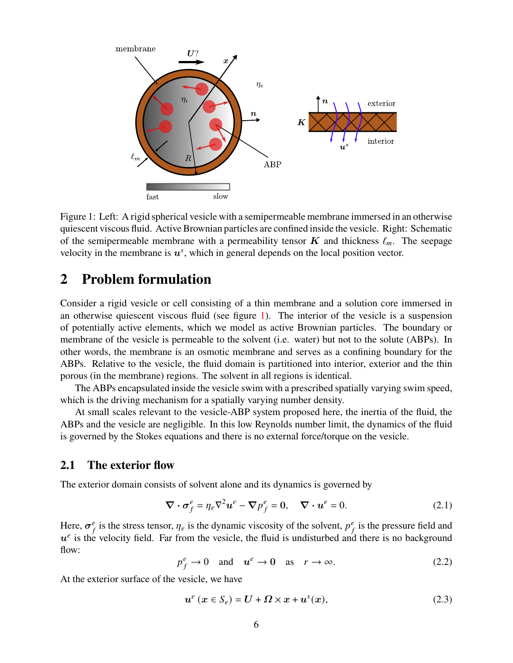

<span id="page-5-0"></span>Figure 1: Left: A rigid spherical vesicle with a semipermeable membrane immersed in an otherwise quiescent viscous fluid. Active Brownian particles are confined inside the vesicle. Right: Schematic of the semipermeable membrane with a permeability tensor K and thickness  $\ell_m$ . The seepage velocity in the membrane is  $u^s$ , which in general depends on the local position vector.

### <span id="page-5-1"></span>**2 Problem formulation**

Consider a rigid vesicle or cell consisting of a thin membrane and a solution core immersed in an otherwise quiescent viscous fluid (see figure [1\)](#page-5-0). The interior of the vesicle is a suspension of potentially active elements, which we model as active Brownian particles. The boundary or membrane of the vesicle is permeable to the solvent (i.e. water) but not to the solute (ABPs). In other words, the membrane is an osmotic membrane and serves as a confining boundary for the ABPs. Relative to the vesicle, the fluid domain is partitioned into interior, exterior and the thin porous (in the membrane) regions. The solvent in all regions is identical.

The ABPs encapsulated inside the vesicle swim with a prescribed spatially varying swim speed, which is the driving mechanism for a spatially varying number density.

At small scales relevant to the vesicle-ABP system proposed here, the inertia of the fluid, the ABPs and the vesicle are negligible. In this low Reynolds number limit, the dynamics of the fluid is governed by the Stokes equations and there is no external force/torque on the vesicle.

#### **2.1 The exterior flow**

The exterior domain consists of solvent alone and its dynamics is governed by

$$
\nabla \cdot \sigma_f^e = \eta_e \nabla^2 u^e - \nabla p_f^e = 0, \quad \nabla \cdot u^e = 0.
$$
 (2.1)

Here,  $\sigma^e_{\mu}$  $\frac{e}{f}$  is the stress tensor,  $\eta_e$  is the dynamic viscosity of the solvent,  $p_f^e$  $\frac{e}{f}$  is the pressure field and  $u^e$  is the velocity field. Far from the vesicle, the fluid is undisturbed and there is no background flow:

$$
p_f^e \to 0
$$
 and  $u^e \to 0$  as  $r \to \infty$ . (2.2)

At the exterior surface of the vesicle, we have

<span id="page-5-2"></span>
$$
u^e (x \in S_e) = U + \Omega \times x + u^s(x), \tag{2.3}
$$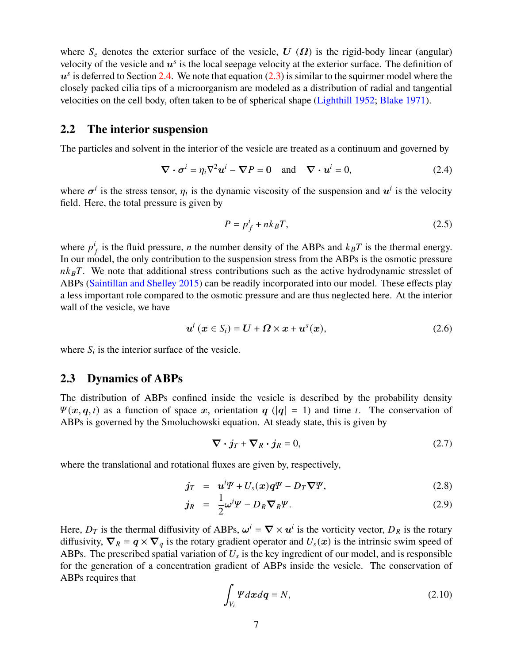where  $S_e$  denotes the exterior surface of the vesicle,  $U(\Omega)$  is the rigid-body linear (angular) velocity of the vesicle and  $u^s$  is the local seepage velocity at the exterior surface. The definition of  $u^s$  is deferred to Section [2.4.](#page-7-0) We note that equation [\(2.3\)](#page-5-2) is similar to the squirmer model where the closely packed cilia tips of a microorganism are modeled as a distribution of radial and tangential velocities on the cell body, often taken to be of spherical shape [\(Lighthill](#page-29-10) [1952;](#page-29-10) [Blake](#page-27-2) [1971\)](#page-27-2).

#### **2.2 The interior suspension**

The particles and solvent in the interior of the vesicle are treated as a continuum and governed by

$$
\nabla \cdot \boldsymbol{\sigma}^i = \eta_i \nabla^2 \boldsymbol{u}^i - \nabla P = 0 \quad \text{and} \quad \nabla \cdot \boldsymbol{u}^i = 0,
$$
 (2.4)

where  $\sigma^{i}$  is the stress tensor,  $\eta_{i}$  is the dynamic viscosity of the suspension and  $u^{i}$  is the velocity field. Here, the total pressure is given by

$$
P = p_f^i + n k_B T,\tag{2.5}
$$

where  $p^i$ is the fluid pressure, *n* the number density of the ABPs and  $k_B T$  is the thermal energy. In our model, the only contribution to the suspension stress from the ABPs is the osmotic pressure  $nk_BT$ . We note that additional stress contributions such as the active hydrodynamic stresslet of ABPs [\(Saintillan and Shelley](#page-29-11) [2015\)](#page-29-11) can be readily incorporated into our model. These effects play a less important role compared to the osmotic pressure and are thus neglected here. At the interior wall of the vesicle, we have

$$
u^{i}(x \in S_{i}) = U + \Omega \times x + u^{s}(x), \qquad (2.6)
$$

where  $S_i$  is the interior surface of the vesicle.

#### **2.3 Dynamics of ABPs**

The distribution of ABPs confined inside the vesicle is described by the probability density  $\Psi(x, q, t)$  as a function of space x, orientation q (|q| = 1) and time t. The conservation of ABPs is governed by the Smoluchowski equation. At steady state, this is given by

$$
\nabla \cdot \dot{\jmath}_T + \nabla_R \cdot \dot{\jmath}_R = 0,\tag{2.7}
$$

where the translational and rotational fluxes are given by, respectively,

$$
\dot{\mathbf{J}}_T = \mathbf{u}^i \mathbf{\Psi} + U_s(\mathbf{x}) \mathbf{q} \mathbf{\Psi} - D_T \nabla \mathbf{\Psi}, \tag{2.8}
$$

$$
j_R = \frac{1}{2}\omega^i \Psi - D_R \nabla_R \Psi. \tag{2.9}
$$

Here,  $D_T$  is the thermal diffusivity of ABPs,  $\omega^i = \nabla \times u^i$  is the vorticity vector,  $D_R$  is the rotary diffusivity,  $\nabla_R = q \times \nabla_q$  is the rotary gradient operator and  $U_s(x)$  is the intrinsic swim speed of ABPs. The prescribed spatial variation of  $U_s$  is the key ingredient of our model, and is responsible for the generation of a concentration gradient of ABPs inside the vesicle. The conservation of ABPs requires that

$$
\int_{V_i} \Psi dx dq = N,\tag{2.10}
$$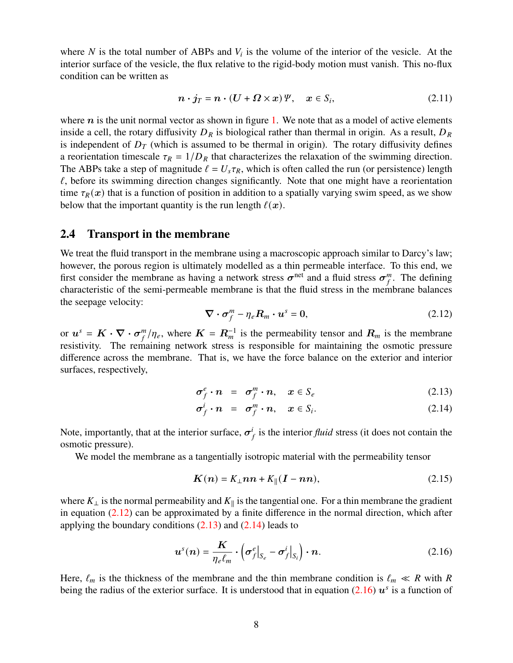where N is the total number of ABPs and  $V_i$  is the volume of the interior of the vesicle. At the interior surface of the vesicle, the flux relative to the rigid-body motion must vanish. This no-flux condition can be written as

<span id="page-7-4"></span>
$$
n \cdot j_T = n \cdot (U + \Omega \times x) \, \mathcal{V}, \quad x \in S_i,
$$
\n
$$
(2.11)
$$

where  $n$  is the unit normal vector as shown in figure [1.](#page-5-0) We note that as a model of active elements inside a cell, the rotary diffusivity  $D_R$  is biological rather than thermal in origin. As a result,  $D_R$ is independent of  $D<sub>T</sub>$  (which is assumed to be thermal in origin). The rotary diffusivity defines a reorientation timescale  $\tau_R = 1/D_R$  that characterizes the relaxation of the swimming direction. The ABPs take a step of magnitude  $\ell = U_s \tau_R$ , which is often called the run (or persistence) length  $\ell$ , before its swimming direction changes significantly. Note that one might have a reorientation time  $\tau_R(x)$  that is a function of position in addition to a spatially varying swim speed, as we show below that the important quantity is the run length  $\ell(\mathbf{x})$ .

#### <span id="page-7-0"></span>**2.4 Transport in the membrane**

We treat the fluid transport in the membrane using a macroscopic approach similar to Darcy's law; however, the porous region is ultimately modelled as a thin permeable interface. To this end, we first consider the membrane as having a network stress  $\sigma^{\text{net}}$  and a fluid stress  $\sigma^m$  $\binom{m}{f}$ . The defining characteristic of the semi-permeable membrane is that the fluid stress in the membrane balances the seepage velocity:

<span id="page-7-1"></span>
$$
\nabla \cdot \boldsymbol{\sigma}_f^m - \eta_e \boldsymbol{R}_m \cdot \boldsymbol{u}^s = 0, \qquad (2.12)
$$

or  $u^s = K \cdot \nabla \cdot \sigma^m$  $\mathcal{L}_{f}^{m}/\eta_e$ , where  $\mathbf{K} = \mathbf{R}_{m}^{-1}$  is the permeability tensor and  $\mathbf{R}_{m}$  is the membrane resistivity. The remaining network stress is responsible for maintaining the osmotic pressure difference across the membrane. That is, we have the force balance on the exterior and interior surfaces, respectively,

<span id="page-7-2"></span>
$$
\sigma_f^e \cdot n = \sigma_f^m \cdot n, \quad x \in S_e \tag{2.13}
$$

$$
\sigma_f^i \cdot n = \sigma_f^m \cdot n, \quad x \in S_i. \tag{2.14}
$$

Note, importantly, that at the interior surface,  $\sigma^i$  $\int_{f}^{i}$  is the interior *fluid* stress (it does not contain the osmotic pressure).

We model the membrane as a tangentially isotropic material with the permeability tensor

$$
K(n) = K_{\perp}nn + K_{\parallel}(I - nn),
$$
\n(2.15)

where  $K_{\perp}$  is the normal permeability and  $K_{\parallel}$  is the tangential one. For a thin membrane the gradient in equation  $(2.12)$  can be approximated by a finite difference in the normal direction, which after applying the boundary conditions  $(2.13)$  and  $(2.14)$  leads to

<span id="page-7-3"></span>
$$
\boldsymbol{u}^{s}(\boldsymbol{n}) = \frac{\boldsymbol{K}}{\eta_{e}\ell_{m}} \cdot \left(\boldsymbol{\sigma}_{f}^{e}\big|_{S_{e}} - \boldsymbol{\sigma}_{f}^{i}\big|_{S_{i}}\right) \cdot \boldsymbol{n}.\tag{2.16}
$$

Here,  $\ell_m$  is the thickness of the membrane and the thin membrane condition is  $\ell_m \ll R$  with R being the radius of the exterior surface. It is understood that in equation [\(2.16\)](#page-7-3)  $u^s$  is a function of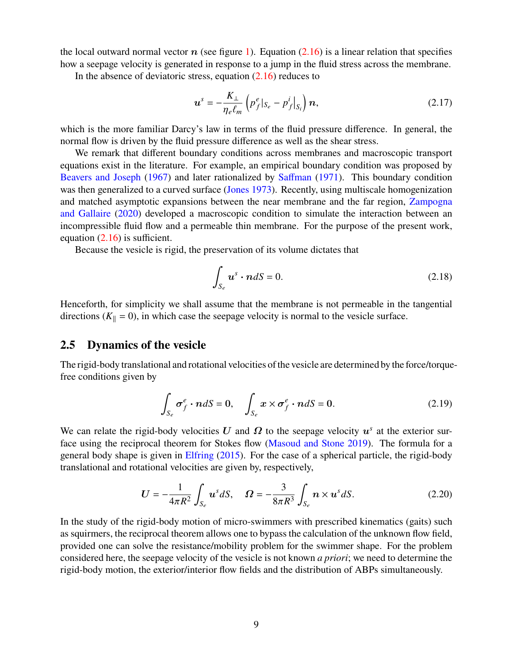the local outward normal vector  $n$  (see figure [1\)](#page-5-0). Equation [\(2.16\)](#page-7-3) is a linear relation that specifies how a seepage velocity is generated in response to a jump in the fluid stress across the membrane.

In the absence of deviatoric stress, equation [\(2.16\)](#page-7-3) reduces to

$$
\boldsymbol{u}^{s} = -\frac{K_{\perp}}{\eta_{e}\ell_{m}} \left( p_{f}^{e} |_{S_{e}} - p_{f}^{i} |_{S_{i}} \right) \boldsymbol{n}, \qquad (2.17)
$$

which is the more familiar Darcy's law in terms of the fluid pressure difference. In general, the normal flow is driven by the fluid pressure difference as well as the shear stress.

We remark that different boundary conditions across membranes and macroscopic transport equations exist in the literature. For example, an empirical boundary condition was proposed by [Beavers and Joseph](#page-27-3) [\(1967\)](#page-27-3) and later rationalized by [Saffman](#page-29-12) [\(1971\)](#page-29-12). This boundary condition was then generalized to a curved surface [\(Jones](#page-28-5) [1973\)](#page-28-5). Recently, using multiscale homogenization and matched asymptotic expansions between the near membrane and the far region, [Zampogna](#page-31-2) [and Gallaire](#page-31-2) [\(2020\)](#page-31-2) developed a macroscopic condition to simulate the interaction between an incompressible fluid flow and a permeable thin membrane. For the purpose of the present work, equation [\(2.16\)](#page-7-3) is sufficient.

Because the vesicle is rigid, the preservation of its volume dictates that

$$
\int_{S_e} \mathbf{u}^s \cdot \mathbf{n} dS = 0. \tag{2.18}
$$

Henceforth, for simplicity we shall assume that the membrane is not permeable in the tangential directions ( $K_{\parallel} = 0$ ), in which case the seepage velocity is normal to the vesicle surface.

#### **2.5 Dynamics of the vesicle**

The rigid-body translational and rotational velocities of the vesicle are determined by the force/torquefree conditions given by

$$
\int_{S_e} \sigma_f^e \cdot n dS = 0, \quad \int_{S_e} x \times \sigma_f^e \cdot n dS = 0.
$$
\n(2.19)

We can relate the rigid-body velocities U and  $\Omega$  to the seepage velocity  $u^s$  at the exterior surface using the reciprocal theorem for Stokes flow [\(Masoud and Stone](#page-29-13) [2019\)](#page-29-13). The formula for a general body shape is given in [Elfring](#page-28-6) [\(2015\)](#page-28-6). For the case of a spherical particle, the rigid-body translational and rotational velocities are given by, respectively,

$$
U = -\frac{1}{4\pi R^2} \int_{S_e} u^s dS, \quad \Omega = -\frac{3}{8\pi R^3} \int_{S_e} n \times u^s dS.
$$
 (2.20)

In the study of the rigid-body motion of micro-swimmers with prescribed kinematics (gaits) such as squirmers, the reciprocal theorem allows one to bypass the calculation of the unknown flow field, provided one can solve the resistance/mobility problem for the swimmer shape. For the problem considered here, the seepage velocity of the vesicle is not known *a priori*; we need to determine the rigid-body motion, the exterior/interior flow fields and the distribution of ABPs simultaneously.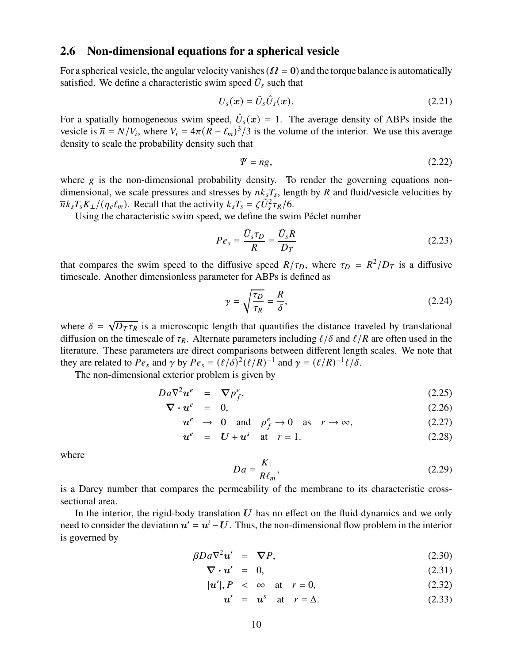#### **2.6 Non-dimensional equations for a spherical vesicle**

For a spherical vesicle, the angular velocity vanishes ( $\Omega = 0$ ) and the torque balance is automatically satisfied. We define a characteristic swim speed  $\tilde{U}_s$  such that

$$
U_s(\boldsymbol{x}) = \tilde{U}_s \hat{U}_s(\boldsymbol{x}). \tag{2.21}
$$

For a spatially homogeneous swim speed,  $\hat{U}_s(x) = 1$ . The average density of ABPs inside the vesicle is  $\overline{n} = N/V_i$ , where  $V_i = 4\pi (R - \ell_m)^3/3$  is the volume of the interior. We use this average density to scale the probability density such that

$$
\Psi = \overline{n}g,\tag{2.22}
$$

where  $g$  is the non-dimensional probability density. To render the governing equations nondimensional, we scale pressures and stresses by  $\overline{n}k_sT_s$ , length by R and fluid/vesicle velocities by  $\overline{n}k_sT_sK_\perp/(\eta_e\ell_m)$ . Recall that the activity  $k_sT_s = \zeta \tilde{U}_s^2\tau_R/6$ .

Using the characteristic swim speed, we define the swim Péclet number

$$
Pe_s = \frac{\tilde{U}_s \tau_D}{R} = \frac{\tilde{U}_s R}{D_T} \tag{2.23}
$$

that compares the swim speed to the diffusive speed  $R/\tau_D$ , where  $\tau_D = R^2/D_T$  is a diffusive timescale. Another dimensionless parameter for ABPs is defined as

$$
\gamma = \sqrt{\frac{\tau_D}{\tau_R}} = \frac{R}{\delta},\tag{2.24}
$$

where  $\delta = \sqrt{D_T \tau_R}$  is a microscopic length that quantifies the distance traveled by translational diffusion on the timescale of  $\tau_R$ . Alternate parameters including  $\ell/\delta$  and  $\ell/R$  are often used in the literature. These parameters are direct comparisons between different length scales. We note that they are related to  $Pe_s$  and  $\gamma$  by  $Pe_s = (\ell/\delta)^2 (\ell/R)^{-1}$  and  $\gamma = (\ell/R)^{-1} \ell/\delta$ .

The non-dimensional exterior problem is given by

<span id="page-9-0"></span>
$$
Da\nabla^2 u^e = \nabla p_f^e, \tag{2.25}
$$

$$
\nabla \cdot u^e = 0, \tag{2.26}
$$

$$
u^e \to 0 \quad \text{and} \quad p_f^e \to 0 \quad \text{as} \quad r \to \infty,\tag{2.27}
$$

$$
u^e = U + u^s \quad \text{at} \quad r = 1. \tag{2.28}
$$

where

$$
Da = \frac{K_{\perp}}{R\ell_m},\tag{2.29}
$$

is a Darcy number that compares the permeability of the membrane to its characteristic crosssectional area.

In the interior, the rigid-body translation  $U$  has no effect on the fluid dynamics and we only need to consider the deviation  $u' = u^{i} - U$ . Thus, the non-dimensional flow problem in the interior is governed by

<span id="page-9-1"></span>
$$
\beta Da \nabla^2 u' = \nabla P,\tag{2.30}
$$

$$
\nabla \cdot \mathbf{u}' = 0, \tag{2.31}
$$

$$
|u'|, P < \infty \quad \text{at} \quad r = 0,\tag{2.32}
$$

$$
u' = u^s \quad \text{at} \quad r = \Delta. \tag{2.33}
$$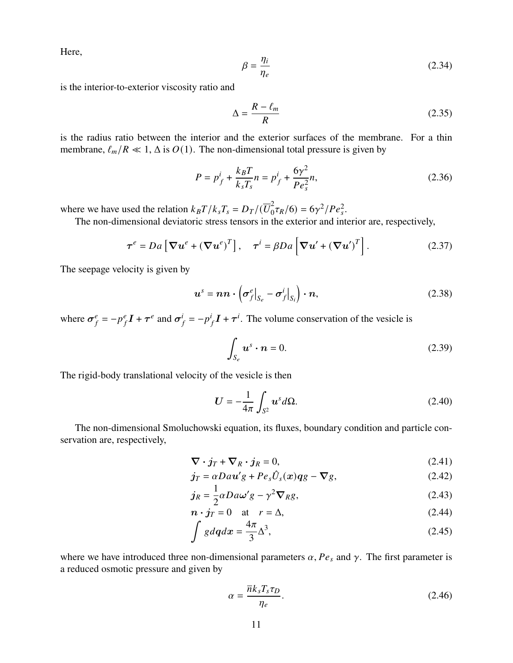Here,

$$
\beta = \frac{\eta_i}{\eta_e} \tag{2.34}
$$

is the interior-to-exterior viscosity ratio and

$$
\Delta = \frac{R - \ell_m}{R} \tag{2.35}
$$

is the radius ratio between the interior and the exterior surfaces of the membrane. For a thin membrane,  $\ell_m/R \ll 1$ ,  $\Delta$  is  $O(1)$ . The non-dimensional total pressure is given by

$$
P = p_f^i + \frac{k_B T}{k_s T_s} n = p_f^i + \frac{6\gamma^2}{P e_s^2} n,
$$
\n(2.36)

where we have used the relation  $k_B T / k_s T_s = D_T / (\overline{U}_0^2)$  $\int_0^2 \tau_R/6$  = 6 $\gamma^2/Pe_s^2$ .

The non-dimensional deviatoric stress tensors in the exterior and interior are, respectively,

<span id="page-10-0"></span>
$$
\boldsymbol{\tau}^{e} = Da \left[ \boldsymbol{\nabla} \boldsymbol{u}^{e} + (\boldsymbol{\nabla} \boldsymbol{u}^{e})^{T} \right], \quad \boldsymbol{\tau}^{i} = \beta Da \left[ \boldsymbol{\nabla} \boldsymbol{u}' + (\boldsymbol{\nabla} \boldsymbol{u}')^{T} \right]. \tag{2.37}
$$

The seepage velocity is given by

<span id="page-10-3"></span>
$$
\boldsymbol{u}^s = \boldsymbol{n}\boldsymbol{n} \cdot \left(\boldsymbol{\sigma}_f^e \big|_{S_e} - \boldsymbol{\sigma}_f^i \big|_{S_i}\right) \cdot \boldsymbol{n},\tag{2.38}
$$

where  $\sigma^e_{\mu}$  $e_f^e = -p_f^e$  $\frac{e}{f}$  $I$  +  $\tau^e$  and  $\sigma^i$  $j_f = -p^i$  $I_f I + \tau^i$ . The volume conservation of the vesicle is

<span id="page-10-4"></span>
$$
\int_{S_e} \boldsymbol{u}^s \cdot \boldsymbol{n} = 0. \tag{2.39}
$$

The rigid-body translational velocity of the vesicle is then

<span id="page-10-1"></span>
$$
U = -\frac{1}{4\pi} \int_{S^2} u^s d\Omega.
$$
 (2.40)

The non-dimensional Smoluchowski equation, its fluxes, boundary condition and particle conservation are, respectively,

<span id="page-10-2"></span>
$$
\nabla \cdot \dot{\jmath}_T + \nabla_R \cdot \dot{\jmath}_R = 0, \tag{2.41}
$$

$$
\dot{\mathbf{j}}_T = \alpha D a \mathbf{u}' g + P e_s \hat{U}_s(\mathbf{x}) q g - \nabla g, \qquad (2.42)
$$

$$
j_R = \frac{1}{2} \alpha D a \omega' g - \gamma^2 \nabla_R g,
$$
\n(2.43)

$$
n \cdot j_T = 0 \quad \text{at} \quad r = \Delta,\tag{2.44}
$$

$$
\int g d\mathbf{q} dx = \frac{4\pi}{3} \Delta^3,\tag{2.45}
$$

where we have introduced three non-dimensional parameters  $\alpha$ ,  $Pe_s$  and  $\gamma$ . The first parameter is a reduced osmotic pressure and given by

$$
\alpha = \frac{\overline{n}k_s T_s \tau_D}{\eta_e}.
$$
\n(2.46)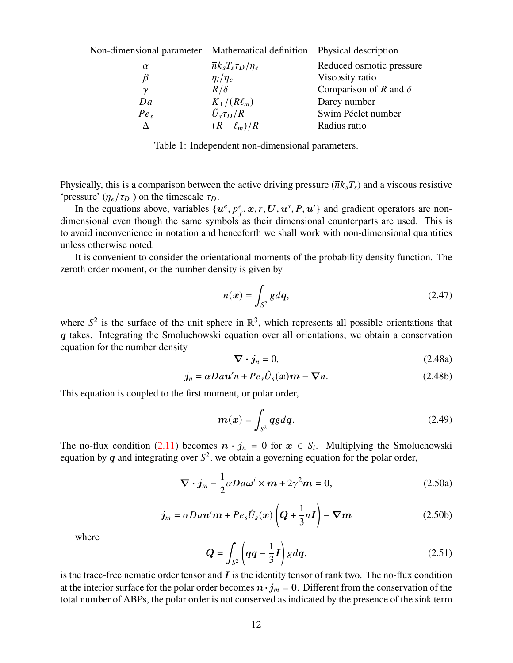| Non-dimensional parameter Mathematical definition Physical description |                                   |                              |
|------------------------------------------------------------------------|-----------------------------------|------------------------------|
| $\alpha$                                                               | $\overline{n}k_sT_s\tau_D/\eta_e$ | Reduced osmotic pressure     |
| B                                                                      | $\eta_i/\eta_e$                   | Viscosity ratio              |
| $\gamma$                                                               | $R/\delta$                        | Comparison of R and $\delta$ |
| Da                                                                     | $K_{\perp}/(R\ell_m)$             | Darcy number                 |
| Pe <sub>s</sub>                                                        | $\tilde{U}_s \tau_D/R$            | Swim Péclet number           |
| л                                                                      | $(R - \ell_m)/R$                  | Radius ratio                 |

Table 1: Independent non-dimensional parameters.

Physically, this is a comparison between the active driving pressure  $(\overline{n}k_sT_s)$  and a viscous resistive 'pressure'  $(\eta_e/\tau_D)$  on the timescale  $\tau_D$ .

In the equations above, variables  $\{u^e, p_f^e, x, r, U, u^s, P, u'\}$  and gradient operators are nondimensional even though the same symbols as their dimensional counterparts are used. This is to avoid inconvenience in notation and henceforth we shall work with non-dimensional quantities unless otherwise noted.

It is convenient to consider the orientational moments of the probability density function. The zeroth order moment, or the number density is given by

$$
n(\boldsymbol{x}) = \int_{S^2} g d\boldsymbol{q},\tag{2.47}
$$

where  $S^2$  is the surface of the unit sphere in  $\mathbb{R}^3$ , which represents all possible orientations that q takes. Integrating the Smoluchowski equation over all orientations, we obtain a conservation equation for the number density

<span id="page-11-1"></span>
$$
\nabla \cdot \boldsymbol{j}_n = 0,\tag{2.48a}
$$

$$
j_n = \alpha D a u' n + P e_s \hat{U}_s(x) m - \nabla n.
$$
 (2.48b)

This equation is coupled to the first moment, or polar order,

$$
m(x) = \int_{S^2} qg dq.
$$
 (2.49)

The no-flux condition [\(2.11\)](#page-7-4) becomes  $\mathbf{n} \cdot \mathbf{j}_n = 0$  for  $\mathbf{x} \in S_i$ . Multiplying the Smoluchowski equation by q and integrating over  $S^2$ , we obtain a governing equation for the polar order,

<span id="page-11-0"></span>
$$
\nabla \cdot \boldsymbol{j}_m - \frac{1}{2} \alpha D a \omega^i \times \boldsymbol{m} + 2 \gamma^2 \boldsymbol{m} = 0, \qquad (2.50a)
$$

$$
j_m = \alpha D a \mathbf{u}' \mathbf{m} + P e_s \hat{U}_s(\mathbf{x}) \left( \mathbf{Q} + \frac{1}{3} n \mathbf{I} \right) - \nabla m \tag{2.50b}
$$

where

$$
Q = \int_{S^2} \left( qq - \frac{1}{3}I \right) g dq, \qquad (2.51)
$$

is the trace-free nematic order tensor and  $I$  is the identity tensor of rank two. The no-flux condition at the interior surface for the polar order becomes  $\mathbf{n} \cdot \mathbf{j}_m = 0$ . Different from the conservation of the total number of ABPs, the polar order is not conserved as indicated by the presence of the sink term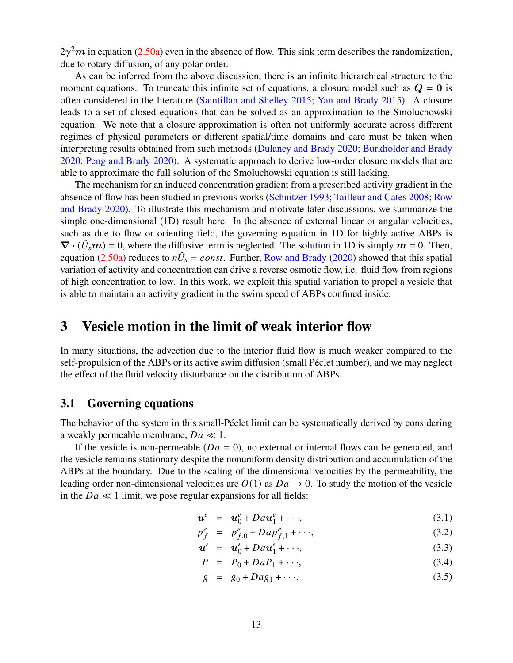$2\gamma^2 m$  in equation [\(2.50a\)](#page-11-0) even in the absence of flow. This sink term describes the randomization, due to rotary diffusion, of any polar order.

As can be inferred from the above discussion, there is an infinite hierarchical structure to the moment equations. To truncate this infinite set of equations, a closure model such as  $Q = 0$  is often considered in the literature [\(Saintillan and Shelley](#page-29-11) [2015;](#page-29-11) [Yan and Brady](#page-31-0) [2015\)](#page-31-0). A closure leads to a set of closed equations that can be solved as an approximation to the Smoluchowski equation. We note that a closure approximation is often not uniformly accurate across different regimes of physical parameters or different spatial/time domains and care must be taken when interpreting results obtained from such methods [\(Dulaney and Brady](#page-28-7) [2020;](#page-28-7) [Burkholder and Brady](#page-27-4) [2020;](#page-27-4) [Peng and Brady](#page-29-14) [2020\)](#page-29-14). A systematic approach to derive low-order closure models that are able to approximate the full solution of the Smoluchowski equation is still lacking.

The mechanism for an induced concentration gradient from a prescribed activity gradient in the absence of flow has been studied in previous works [\(Schnitzer](#page-29-7) [1993;](#page-29-7) [Tailleur and Cates](#page-30-6) [2008;](#page-30-6) [Row](#page-29-8) [and Brady](#page-29-8) [2020\)](#page-29-8). To illustrate this mechanism and motivate later discussions, we summarize the simple one-dimensional (1D) result here. In the absence of external linear or angular velocities, such as due to flow or orienting field, the governing equation in 1D for highly active ABPs is  $\nabla \cdot (\hat{U}_s m) = 0$ , where the diffusive term is neglected. The solution in 1D is simply  $m = 0$ . Then, equation [\(2.50a\)](#page-11-0) reduces to  $n\hat{U}_s = const.$  Further, [Row and Brady](#page-29-8) [\(2020\)](#page-29-8) showed that this spatial variation of activity and concentration can drive a reverse osmotic flow, i.e. fluid flow from regions of high concentration to low. In this work, we exploit this spatial variation to propel a vesicle that is able to maintain an activity gradient in the swim speed of ABPs confined inside.

### <span id="page-12-0"></span>**3 Vesicle motion in the limit of weak interior flow**

In many situations, the advection due to the interior fluid flow is much weaker compared to the self-propulsion of the ABPs or its active swim diffusion (small Péclet number), and we may neglect the effect of the fluid velocity disturbance on the distribution of ABPs.

#### **3.1 Governing equations**

The behavior of the system in this small-Péclet limit can be systematically derived by considering a weakly permeable membrane,  $Da \ll 1$ .

If the vesicle is non-permeable ( $Da = 0$ ), no external or internal flows can be generated, and the vesicle remains stationary despite the nonuniform density distribution and accumulation of the ABPs at the boundary. Due to the scaling of the dimensional velocities by the permeability, the leading order non-dimensional velocities are  $O(1)$  as  $Da \rightarrow 0$ . To study the motion of the vesicle in the  $Da \ll 1$  limit, we pose regular expansions for all fields:

$$
\boldsymbol{u}^e = \boldsymbol{u}_0^e + D a \boldsymbol{u}_1^e + \cdots, \qquad (3.1)
$$

$$
p_f^e = p_{f,0}^e + Dap_{f,1}^e + \cdots,\tag{3.2}
$$

$$
u' = u'_0 + Dau'_1 + \cdots, \tag{3.3}
$$

$$
P = P_0 + DaP_1 + \cdots, \tag{3.4}
$$

$$
g = g_0 + Dag_1 + \cdots \tag{3.5}
$$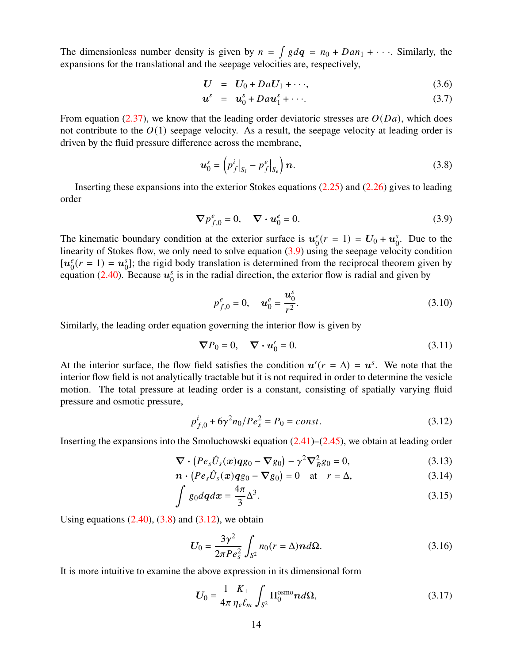The dimensionless number density is given by  $n = \int g dq = n_0 + Dan_1 + \cdots$ . Similarly, the expansions for the translational and the seepage velocities are, respectively,

$$
U = U_0 + DaU_1 + \cdots, \qquad (3.6)
$$

$$
\boldsymbol{u}^s = \boldsymbol{u}_0^s + D a \boldsymbol{u}_1^s + \cdots. \tag{3.7}
$$

From equation [\(2.37\)](#page-10-0), we know that the leading order deviatoric stresses are  $O(Da)$ , which does not contribute to the  $O(1)$  seepage velocity. As a result, the seepage velocity at leading order is driven by the fluid pressure difference across the membrane,

<span id="page-13-1"></span>
$$
\boldsymbol{u}_0^s = \left( p_f^i \big|_{S_i} - p_f^e \big|_{S_e} \right) \boldsymbol{n}.\tag{3.8}
$$

Inserting these expansions into the exterior Stokes equations [\(2.25\)](#page-9-0) and [\(2.26\)](#page-9-0) gives to leading order

<span id="page-13-0"></span>
$$
\nabla p_{f,0}^e = 0, \quad \nabla \cdot \mathbf{u}_0^e = 0. \tag{3.9}
$$

The kinematic boundary condition at the exterior surface is  $u_0^e$  $\frac{e}{0}(r = 1) = U_0 + u_0^s$  $\int_0^s$ . Due to the linearity of Stokes flow, we only need to solve equation [\(3.9\)](#page-13-0) using the seepage velocity condition  $[u_0^e]$  $_{0}^{e}(r = 1) = u_{0}^{s}$  $\delta_0$ ; the rigid body translation is determined from the reciprocal theorem given by equation [\(2.40\)](#page-10-1). Because  $u_0^s$  $\delta$ <sub>0</sub> is in the radial direction, the exterior flow is radial and given by

$$
p_{f,0}^{e} = 0, \quad \mathbf{u}_0^{e} = \frac{\mathbf{u}_0^{s}}{r^2}.
$$
 (3.10)

Similarly, the leading order equation governing the interior flow is given by

$$
\nabla P_0 = 0, \quad \nabla \cdot \mathbf{u}'_0 = 0. \tag{3.11}
$$

At the interior surface, the flow field satisfies the condition  $u'(r = \Delta) = u^s$ . We note that the interior flow field is not analytically tractable but it is not required in order to determine the vesicle motion. The total pressure at leading order is a constant, consisting of spatially varying fluid pressure and osmotic pressure,

<span id="page-13-2"></span>
$$
p_{f,0}^{i} + 6\gamma^{2} n_{0} / Pe_{s}^{2} = P_{0} = const.
$$
\n(3.12)

Inserting the expansions into the Smoluchowski equation  $(2.41)$ – $(2.45)$ , we obtain at leading order

<span id="page-13-3"></span>
$$
\nabla \cdot (Pe_s \hat{U}_s(x) qg_0 - \nabla g_0) - \gamma^2 \nabla_R^2 g_0 = 0, \qquad (3.13)
$$

$$
\boldsymbol{n} \cdot (Pe_s \hat{U}_s(\boldsymbol{x}) \boldsymbol{q} g_0 - \boldsymbol{\nabla} g_0) = 0 \quad \text{at} \quad r = \Delta,
$$
 (3.14)

$$
\int g_0 dq dx = \frac{4\pi}{3} \Delta^3.
$$
\n(3.15)

Using equations  $(2.40)$ ,  $(3.8)$  and  $(3.12)$ , we obtain

<span id="page-13-4"></span>
$$
U_0 = \frac{3\gamma^2}{2\pi Pe_s^2} \int_{S^2} n_0(r=\Delta) n d\Omega.
$$
 (3.16)

It is more intuitive to examine the above expression in its dimensional form

<span id="page-13-5"></span>
$$
U_0 = \frac{1}{4\pi} \frac{K_\perp}{\eta_e \ell_m} \int_{S^2} \Pi_0^{\text{osmo}} n d\Omega, \tag{3.17}
$$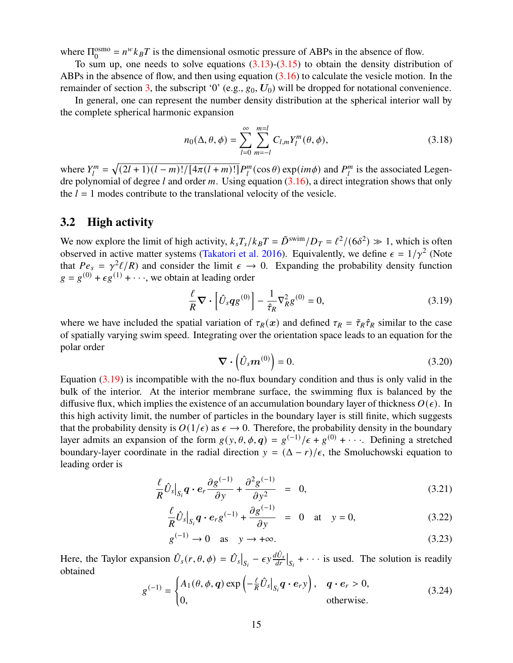where  $\Pi_0^{\rm osmo}$  $0_0^{\text{osmo}} = n^w k_B T$  is the dimensional osmotic pressure of ABPs in the absence of flow.

To sum up, one needs to solve equations  $(3.13)-(3.15)$  $(3.13)-(3.15)$  $(3.13)-(3.15)$  to obtain the density distribution of ABPs in the absence of flow, and then using equation [\(3.16\)](#page-13-4) to calculate the vesicle motion. In the remainder of section [3,](#page-12-0) the subscript '0' (e.g.,  $g_0$ ,  $U_0$ ) will be dropped for notational convenience.

In general, one can represent the number density distribution at the spherical interior wall by the complete spherical harmonic expansion

$$
n_0(\Delta, \theta, \phi) = \sum_{l=0}^{\infty} \sum_{m=-l}^{m=l} C_{l,m} Y_l^m(\theta, \phi),
$$
\n(3.18)

where  $Y_l^m$  $J_l^m = \sqrt{(2l+1)(l-m)!/[4\pi(l+m)!]} P_l^m$  $_{l}^{m}(\cos \theta)$  exp $(im\phi)$  and  $P_{l}^{m}$  $\binom{m}{l}$  is the associated Legendre polynomial of degree *l* and order m. Using equation  $(3.16)$ , a direct integration shows that only the  $l = 1$  modes contribute to the translational velocity of the vesicle.

#### <span id="page-14-0"></span>**3.2 High activity**

We now explore the limit of high activity,  $k_sT_s/k_B T = \tilde{D}^{swin}/D_T = \ell^2/(6\delta^2) \gg 1$ , which is often observed in active matter systems [\(Takatori et al.](#page-30-8) [2016\)](#page-30-8). Equivalently, we define  $\epsilon = 1/\gamma^2$  (Note that  $Pe_s = \gamma^2 \ell/R$ ) and consider the limit  $\epsilon \to 0$ . Expanding the probability density function  $g = g^{(0)} + \epsilon g^{(1)} + \cdots$ , we obtain at leading order

<span id="page-14-1"></span>
$$
\frac{\ell}{R}\nabla \cdot \left[\hat{U}_s q g^{(0)}\right] - \frac{1}{\hat{\tau}_R} \nabla_R^2 g^{(0)} = 0,\tag{3.19}
$$

where we have included the spatial variation of  $\tau_R(x)$  and defined  $\tau_R = \tilde{\tau}_R \hat{\tau}_R$  similar to the case of spatially varying swim speed. Integrating over the orientation space leads to an equation for the polar order

$$
\nabla \cdot (\hat{U}_s \boldsymbol{m}^{(0)}) = 0. \tag{3.20}
$$

Equation [\(3.19\)](#page-14-1) is incompatible with the no-flux boundary condition and thus is only valid in the bulk of the interior. At the interior membrane surface, the swimming flux is balanced by the diffusive flux, which implies the existence of an accumulation boundary layer of thickness  $O(\epsilon)$ . In this high activity limit, the number of particles in the boundary layer is still finite, which suggests that the probability density is  $O(1/\epsilon)$  as  $\epsilon \to 0$ . Therefore, the probability density in the boundary layer admits an expansion of the form  $g(y, \theta, \phi, q) = g^{(-1)}/\epsilon + g^{(0)} + \cdots$ . Defining a stretched boundary-layer coordinate in the radial direction  $y = (\Delta - r)/\epsilon$ , the Smoluchowski equation to leading order is

<span id="page-14-3"></span>
$$
\frac{\ell}{R}\hat{U}_s\big|_{S_i} \mathbf{q} \cdot \mathbf{e}_r \frac{\partial g^{(-1)}}{\partial y} + \frac{\partial^2 g^{(-1)}}{\partial y^2} = 0, \tag{3.21}
$$

$$
\frac{\ell}{R}\hat{U}_s\big|_{S_i} \mathbf{q} \cdot \mathbf{e}_r g^{(-1)} + \frac{\partial g^{(-1)}}{\partial y} = 0 \quad \text{at} \quad y = 0,
$$
\n(3.22)

$$
g^{(-1)} \to 0 \quad \text{as} \quad y \to +\infty. \tag{3.23}
$$

Here, the Taylor expansion  $\hat{U}_s(r, \theta, \phi) = \hat{U}_s|_{S_i} - \epsilon y \frac{d\hat{U}_s}{dr}|_{S_i} + \cdots$  is used. The solution is readily obtained

<span id="page-14-2"></span>
$$
g^{(-1)} = \begin{cases} A_1(\theta, \phi, \mathbf{q}) \exp\left(-\frac{\ell}{R}\hat{U}_s|_{S_i}\mathbf{q} \cdot \mathbf{e}_r\mathbf{y}\right), & \mathbf{q} \cdot \mathbf{e}_r > 0, \\ 0, & \text{otherwise.} \end{cases}
$$
(3.24)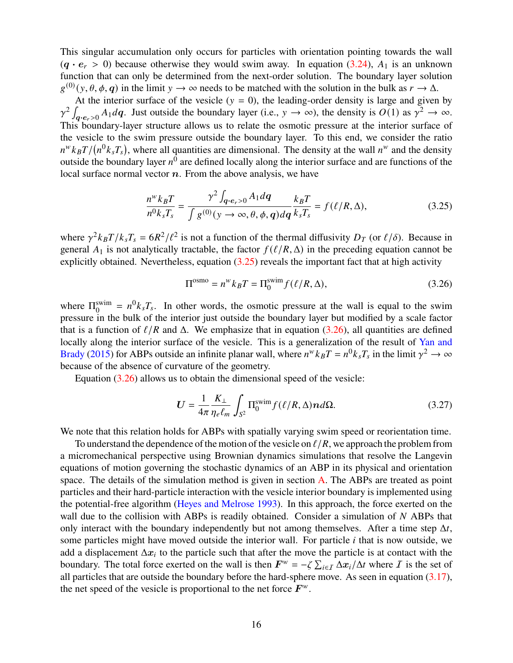This singular accumulation only occurs for particles with orientation pointing towards the wall  $(q \cdot e_r > 0)$  because otherwise they would swim away. In equation [\(3.24\)](#page-14-2),  $A_1$  is an unknown function that can only be determined from the next-order solution. The boundary layer solution  $g^{(0)}(y, \theta, \phi, q)$  in the limit  $y \to \infty$  needs to be matched with the solution in the bulk as  $r \to \Delta$ .

At the interior surface of the vesicle  $(y = 0)$ , the leading-order density is large and given by  $\gamma^2 \int_{\mathbf{q}\cdot\mathbf{e}_r>0} A_1 d\mathbf{q}$ . Just outside the boundary layer (i.e.,  $y \to \infty$ ), the density is  $O(1)$  as  $\gamma^2 \to \infty$ . This boundary-layer structure allows us to relate the osmotic pressure at the interior surface of the vesicle to the swim pressure outside the boundary layer. To this end, we consider the ratio  $n^w k_B T / (n^0 k_s T_s)$ , where all quantities are dimensional. The density at the wall  $n^w$  and the density outside the boundary layer  $n^0$  are defined locally along the interior surface and are functions of the local surface normal vector  $n$ . From the above analysis, we have

<span id="page-15-0"></span>
$$
\frac{n^w k_B T}{n^0 k_s T_s} = \frac{\gamma^2 \int_{\mathbf{q} \cdot \mathbf{e}_r > 0} A_1 d\mathbf{q}}{\int g^{(0)}(y \to \infty, \theta, \phi, \mathbf{q}) d\mathbf{q}} \frac{k_B T}{k_s T_s} = f(\ell/R, \Delta),\tag{3.25}
$$

where  $\gamma^2 k_B T / k_s T_s = 6R^2/\ell^2$  is not a function of the thermal diffusivity  $D_T$  (or  $\ell/\delta$ ). Because in general  $A_1$  is not analytically tractable, the factor  $f(\ell/R, \Delta)$  in the preceding equation cannot be explicitly obtained. Nevertheless, equation  $(3.25)$  reveals the important fact that at high activity

<span id="page-15-1"></span>
$$
\Pi^{\text{osmo}} = n^w k_B T = \Pi_0^{\text{swim}} f(\ell/R, \Delta),\tag{3.26}
$$

where  $\Pi_0^{\text{swim}}$  $0_0^{\text{swim}} = n^0 k_s T_s$ . In other words, the osmotic pressure at the wall is equal to the swim pressure in the bulk of the interior just outside the boundary layer but modified by a scale factor that is a function of  $\ell/R$  and  $\Delta$ . We emphasize that in equation [\(3.26\)](#page-15-1), all quantities are defined locally along the interior surface of the vesicle. This is a generalization of the result of [Yan and](#page-31-0) [Brady](#page-31-0) [\(2015\)](#page-31-0) for ABPs outside an infinite planar wall, where  $n^w k_B T = n^0 k_s T_s$  in the limit  $\gamma^2 \to \infty$ because of the absence of curvature of the geometry.

Equation [\(3.26\)](#page-15-1) allows us to obtain the dimensional speed of the vesicle:

<span id="page-15-2"></span>
$$
U = \frac{1}{4\pi} \frac{K_{\perp}}{\eta_e \ell_m} \int_{S^2} \Pi_0^{\text{swim}} f(\ell/R, \Delta) n d\Omega.
$$
 (3.27)

We note that this relation holds for ABPs with spatially varying swim speed or reorientation time.

To understand the dependence of the motion of the vesicle on  $\ell/R$ , we approach the problem from a micromechanical perspective using Brownian dynamics simulations that resolve the Langevin equations of motion governing the stochastic dynamics of an ABP in its physical and orientation space. The details of the simulation method is given in section [A.](#page-25-0) The ABPs are treated as point particles and their hard-particle interaction with the vesicle interior boundary is implemented using the potential-free algorithm [\(Heyes and Melrose](#page-28-8) [1993\)](#page-28-8). In this approach, the force exerted on the wall due to the collision with ABPs is readily obtained. Consider a simulation of  $N$  ABPs that only interact with the boundary independently but not among themselves. After a time step  $\Delta t$ , some particles might have moved outside the interior wall. For particle  $i$  that is now outside, we add a displacement  $\Delta x_i$  to the particle such that after the move the particle is at contact with the boundary. The total force exerted on the wall is then  $F^w = -\zeta \sum_{i \in I} \Delta x_i / \Delta t$  where  $I$  is the set of all particles that are outside the boundary before the hard-sphere move. As seen in equation  $(3.17)$ , the net speed of the vesicle is proportional to the net force  $F^w$ .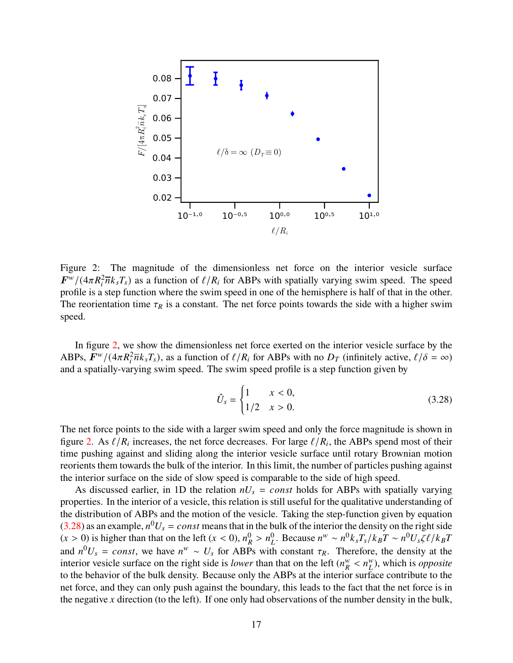

<span id="page-16-0"></span>Figure 2: The magnitude of the dimensionless net force on the interior vesicle surface  $F^{w}/(4\pi R_i^2 \overline{n} k_s T_s)$  as a function of  $\ell/R_i$  for ABPs with spatially varying swim speed. The speed profile is a step function where the swim speed in one of the hemisphere is half of that in the other. The reorientation time  $\tau_R$  is a constant. The net force points towards the side with a higher swim speed.

In figure [2,](#page-16-0) we show the dimensionless net force exerted on the interior vesicle surface by the ABPs,  $\vec{F}^w/(4\pi R_i^2 \bar{n} k_s T_s)$ , as a function of  $\ell/R_i$  for ABPs with no  $D_T$  (infinitely active,  $\ell/\delta = \infty$ ) and a spatially-varying swim speed. The swim speed profile is a step function given by

<span id="page-16-1"></span>
$$
\hat{U}_s = \begin{cases} 1 & x < 0, \\ 1/2 & x > 0. \end{cases}
$$
 (3.28)

The net force points to the side with a larger swim speed and only the force magnitude is shown in figure [2.](#page-16-0) As  $\ell/R_i$  increases, the net force decreases. For large  $\ell/R_i$ , the ABPs spend most of their time pushing against and sliding along the interior vesicle surface until rotary Brownian motion reorients them towards the bulk of the interior. In this limit, the number of particles pushing against the interior surface on the side of slow speed is comparable to the side of high speed.

As discussed earlier, in 1D the relation  $nU_s = const$  holds for ABPs with spatially varying properties. In the interior of a vesicle, this relation is still useful for the qualitative understanding of the distribution of ABPs and the motion of the vesicle. Taking the step-function given by equation [\(3.28\)](#page-16-1) as an example,  $n^0U_s = const$  means that in the bulk of the interior the density on the right side  $(x > 0)$  is higher than that on the left  $(x < 0)$ ,  $n_R^0 > n_L^0$ . Because  $n^w \sim n^0 k_s T_s / k_B T \sim n^0 U_s \zeta \ell / k_B T$ and  $n^0U_s = const$ , we have  $n^w \sim U_s$  for ABPs with constant  $\tau_R$ . Therefore, the density at the interior vesicle surface on the right side is *lower* than that on the left  $(n_{R}^{w})$  $\frac{w}{R}$  <  $n_L^w$ ), which is *opposite* to the behavior of the bulk density. Because only the ABPs at the interior surface contribute to the net force, and they can only push against the boundary, this leads to the fact that the net force is in the negative x direction (to the left). If one only had observations of the number density in the bulk,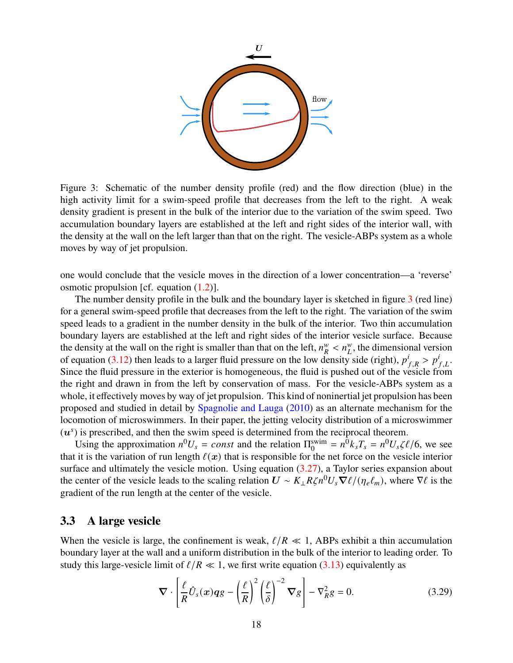

<span id="page-17-0"></span>Figure 3: Schematic of the number density profile (red) and the flow direction (blue) in the high activity limit for a swim-speed profile that decreases from the left to the right. A weak density gradient is present in the bulk of the interior due to the variation of the swim speed. Two accumulation boundary layers are established at the left and right sides of the interior wall, with the density at the wall on the left larger than that on the right. The vesicle-ABPs system as a whole moves by way of jet propulsion.

one would conclude that the vesicle moves in the direction of a lower concentration—a 'reverse' osmotic propulsion [cf. equation [\(1.2\)](#page-2-1)].

The number density profile in the bulk and the boundary layer is sketched in figure  $3$  (red line) for a general swim-speed profile that decreases from the left to the right. The variation of the swim speed leads to a gradient in the number density in the bulk of the interior. Two thin accumulation boundary layers are established at the left and right sides of the interior vesicle surface. Because the density at the wall on the right is smaller than that on the left,  $n_R^w$  $\frac{w}{R}$  <  $n_L^w$ , the dimensional version of equation [\(3.12\)](#page-13-2) then leads to a larger fluid pressure on the low density side (right),  $p_{f,R}^i > p_{f,L}^i$ . Since the fluid pressure in the exterior is homogeneous, the fluid is pushed out of the vesicle from the right and drawn in from the left by conservation of mass. For the vesicle-ABPs system as a whole, it effectively moves by way of jet propulsion. This kind of noninertial jet propulsion has been proposed and studied in detail by [Spagnolie and Lauga](#page-30-12) [\(2010\)](#page-30-12) as an alternate mechanism for the locomotion of microswimmers. In their paper, the jetting velocity distribution of a microswimmer  $(u<sup>s</sup>)$  is prescribed, and then the swim speed is determined from the reciprocal theorem.

Using the approximation  $n^0U_s = const$  and the relation  $\Pi_0^{\text{swim}}$  $v_0^{\text{swim}} = n^0 k_s T_s = n^0 U_s \zeta \ell / 6$ , we see that it is the variation of run length  $\ell(x)$  that is responsible for the net force on the vesicle interior surface and ultimately the vesicle motion. Using equation  $(3.27)$ , a Taylor series expansion about the center of the vesicle leads to the scaling relation  $U \sim K_{\perp} R \zeta n^0 U_s \nabla \ell / (\eta_e \ell_m)$ , where  $\nabla \ell$  is the gradient of the run length at the center of the vesicle.

### **3.3 A large vesicle**

When the vesicle is large, the confinement is weak,  $\ell/R \ll 1$ , ABPs exhibit a thin accumulation boundary layer at the wall and a uniform distribution in the bulk of the interior to leading order. To study this large-vesicle limit of  $\ell/R \ll 1$ , we first write equation [\(3.13\)](#page-13-3) equivalently as

$$
\nabla \cdot \left[ \frac{\ell}{R} \hat{U}_s(x) qg - \left( \frac{\ell}{R} \right)^2 \left( \frac{\ell}{\delta} \right)^{-2} \nabla g \right] - \nabla_R^2 g = 0. \tag{3.29}
$$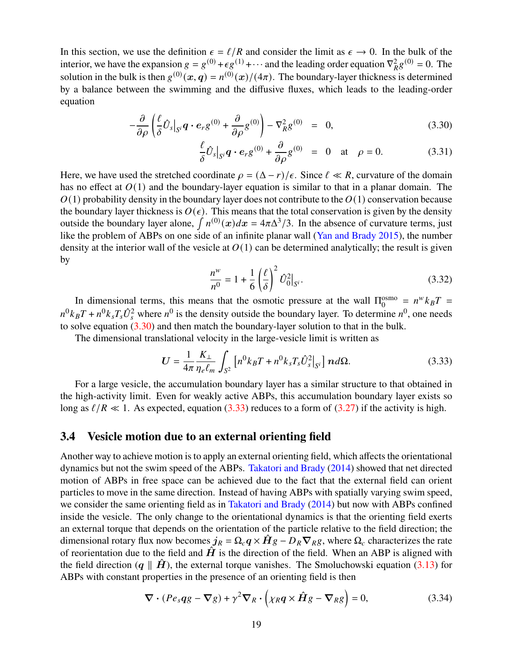In this section, we use the definition  $\epsilon = \ell/R$  and consider the limit as  $\epsilon \to 0$ . In the bulk of the interior, we have the expansion  $g = g^{(0)} + \epsilon g^{(1)} + \cdots$  and the leading order equation  $\nabla_R^2 g^{(0)} = 0$ . The solution in the bulk is then  $g^{(0)}(x, q) = n^{(0)}(x)/(4\pi)$ . The boundary-layer thickness is determined by a balance between the swimming and the diffusive fluxes, which leads to the leading-order equation

<span id="page-18-1"></span>
$$
-\frac{\partial}{\partial \rho} \left( \frac{\ell}{\delta} \hat{U}_s |_{S^i} \mathbf{q} \cdot \mathbf{e}_r g^{(0)} + \frac{\partial}{\partial \rho} g^{(0)} \right) - \nabla_R^2 g^{(0)} = 0, \qquad (3.30)
$$

$$
\frac{\ell}{\delta}\hat{U}_s\big|_{S^i}\mathbf{q}\cdot\mathbf{e}_r g^{(0)} + \frac{\partial}{\partial\rho}g^{(0)} = 0 \quad \text{at} \quad \rho = 0. \tag{3.31}
$$

Here, we have used the stretched coordinate  $\rho = (\Delta - r)/\epsilon$ . Since  $\ell \ll R$ , curvature of the domain has no effect at  $O(1)$  and the boundary-layer equation is similar to that in a planar domain. The  $(1)$  probability density in the boundary layer does not contribute to the  $(1)$  conservation because the boundary layer thickness is  $O(\epsilon)$ . This means that the total conservation is given by the density outside the boundary layer alone,  $\int n^{(0)}(x)dx = 4\pi\Delta^3/3$ . In the absence of curvature terms, just like the problem of ABPs on one side of an infinite planar wall [\(Yan and Brady](#page-31-0) [2015\)](#page-31-0), the number density at the interior wall of the vesicle at  $O(1)$  can be determined analytically; the result is given by

$$
\frac{n^{w}}{n^{0}} = 1 + \frac{1}{6} \left(\frac{\ell}{\delta}\right)^{2} \hat{U}_{0}^{2}|_{S^{i}}.
$$
\n(3.32)

In dimensional terms, this means that the osmotic pressure at the wall  $\Pi_0^{\text{osmo}}$  $\int_0^{\text{osmo}} = n^w k_B T =$  $n^0 k_B T + n^0 k_s T_s \hat{U}_s^2$  where  $n^0$  is the density outside the boundary layer. To determine  $n^0$ , one needs to solve equation [\(3.30\)](#page-18-1) and then match the boundary-layer solution to that in the bulk.

The dimensional translational velocity in the large-vesicle limit is written as

<span id="page-18-2"></span>
$$
U = \frac{1}{4\pi} \frac{K_{\perp}}{\eta_e \ell_m} \int_{S^2} \left[ n^0 k_B T + n^0 k_s T_s \hat{U}_s^2 \Big|_{S^i} \right] n d\Omega. \tag{3.33}
$$

For a large vesicle, the accumulation boundary layer has a similar structure to that obtained in the high-activity limit. Even for weakly active ABPs, this accumulation boundary layer exists so long as  $\ell/R \ll 1$ . As expected, equation [\(3.33\)](#page-18-2) reduces to a form of [\(3.27\)](#page-15-2) if the activity is high.

#### <span id="page-18-0"></span>**3.4 Vesicle motion due to an external orienting field**

Another way to achieve motion is to apply an external orienting field, which affects the orientational dynamics but not the swim speed of the ABPs. [Takatori and Brady](#page-30-9) [\(2014\)](#page-30-9) showed that net directed motion of ABPs in free space can be achieved due to the fact that the external field can orient particles to move in the same direction. Instead of having ABPs with spatially varying swim speed, we consider the same orienting field as in [Takatori and Brady](#page-30-9) [\(2014\)](#page-30-9) but now with ABPs confined inside the vesicle. The only change to the orientational dynamics is that the orienting field exerts an external torque that depends on the orientation of the particle relative to the field direction; the dimensional rotary flux now becomes  $j_R = \Omega_c q \times \hat{H} g - D_R \nabla_R g$ , where  $\Omega_c$  characterizes the rate of reorientation due to the field and  $\hat{H}$  is the direction of the field. When an ABP is aligned with the field direction  $(q \parallel \hat{H})$ , the external torque vanishes. The Smoluchowski equation [\(3.13\)](#page-13-3) for ABPs with constant properties in the presence of an orienting field is then

<span id="page-18-3"></span>
$$
\nabla \cdot (Pe_s qg - \nabla g) + \gamma^2 \nabla_R \cdot (\chi_R q \times \hat{H} g - \nabla_R g) = 0,
$$
 (3.34)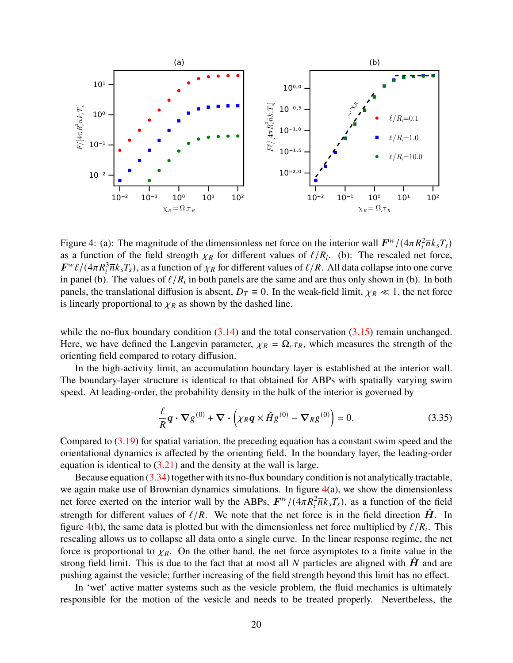

<span id="page-19-0"></span>Figure 4: (a): The magnitude of the dimensionless net force on the interior wall  $F^w/(4\pi R_i^2 \overline{n} k_s T_s)$ as a function of the field strength  $\chi_R$  for different values of  $\ell/R_i$ . (b): The rescaled net force,  $F^{w}\ell/(4\pi R_i^3\overline{n}k_sT_s)$ , as a function of  $\chi_R$  for different values of  $\ell/R$ . All data collapse into one curve in panel (b). The values of  $\ell/R_i$  in both panels are the same and are thus only shown in (b). In both panels, the translational diffusion is absent,  $D_T \equiv 0$ . In the weak-field limit,  $\chi_R \ll 1$ , the net force is linearly proportional to  $\chi_R$  as shown by the dashed line.

while the no-flux boundary condition  $(3.14)$  and the total conservation  $(3.15)$  remain unchanged. Here, we have defined the Langevin parameter,  $\chi_R = \Omega_c \tau_R$ , which measures the strength of the orienting field compared to rotary diffusion.

In the high-activity limit, an accumulation boundary layer is established at the interior wall. The boundary-layer structure is identical to that obtained for ABPs with spatially varying swim speed. At leading-order, the probability density in the bulk of the interior is governed by

$$
\frac{\ell}{R}\mathbf{q}\cdot\nabla g^{(0)} + \nabla\cdot\left(\chi_R\mathbf{q}\times\hat{H}g^{(0)} - \nabla_Rg^{(0)}\right) = 0.
$$
\n(3.35)

Compared to [\(3.19\)](#page-14-1) for spatial variation, the preceding equation has a constant swim speed and the orientational dynamics is affected by the orienting field. In the boundary layer, the leading-order equation is identical to  $(3.21)$  and the density at the wall is large.

Because equation [\(3.34\)](#page-18-3) together with its no-flux boundary condition is not analytically tractable, we again make use of Brownian dynamics simulations. In figure  $4(a)$  $4(a)$ , we show the dimensionless net force exerted on the interior wall by the ABPs,  $F^w/(4\pi R_i^2 \overline{n} k_s T_s)$ , as a function of the field strength for different values of  $\ell/R$ . We note that the net force is in the field direction  $\hat{H}$ . In figure [4\(](#page-19-0)b), the same data is plotted but with the dimensionless net force multiplied by  $\ell/R_i$ . This rescaling allows us to collapse all data onto a single curve. In the linear response regime, the net force is proportional to  $\chi_R$ . On the other hand, the net force asymptotes to a finite value in the strong field limit. This is due to the fact that at most all  $N$  particles are aligned with  $H$  and are pushing against the vesicle; further increasing of the field strength beyond this limit has no effect.

In 'wet' active matter systems such as the vesicle problem, the fluid mechanics is ultimately responsible for the motion of the vesicle and needs to be treated properly. Nevertheless, the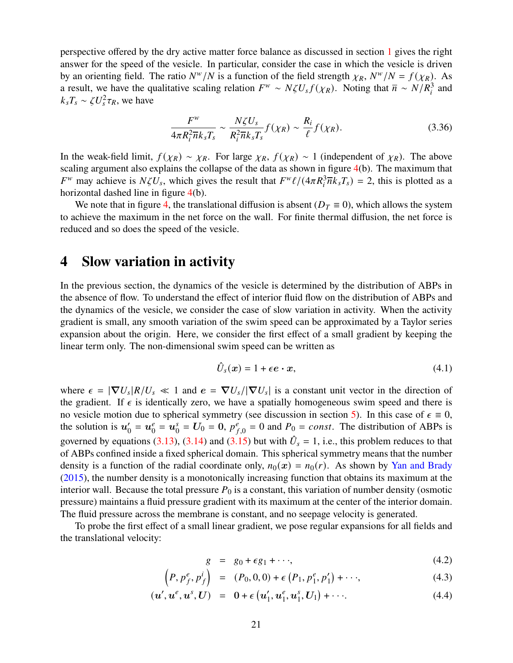perspective offered by the dry active matter force balance as discussed in section [1](#page-0-0) gives the right answer for the speed of the vesicle. In particular, consider the case in which the vesicle is driven by an orienting field. The ratio  $N^w/N$  is a function of the field strength  $\chi_R$ ,  $N^w/N = f(\chi_R)$ . As a result, we have the qualitative scaling relation  $F^w \sim N \zeta U_s f(\chi_R)$ . Noting that  $\overline{n} \sim N/R_i^3$  and  $k_s T_s \sim \zeta U_s^2 \tau_R$ , we have

$$
\frac{F^w}{4\pi R_i^2 \overline{n}k_s T_s} \sim \frac{N\zeta U_s}{R_i^2 \overline{n}k_s T_s} f(\chi_R) \sim \frac{R_i}{\ell} f(\chi_R). \tag{3.36}
$$

In the weak-field limit,  $f(\chi_R) \sim \chi_R$ . For large  $\chi_R$ ,  $f(\chi_R) \sim 1$  (independent of  $\chi_R$ ). The above scaling argument also explains the collapse of the data as shown in figure [4\(](#page-19-0)b). The maximum that  $F^w$  may achieve is  $N\zeta U_s$ , which gives the result that  $F^w\ell/(4\pi R_i^3 \overline{n} \overline{k}_s T_s) = 2$ , this is plotted as a horizontal dashed line in figure [4\(](#page-19-0)b).

We note that in figure [4,](#page-19-0) the translational diffusion is absent ( $D<sub>T</sub> \equiv 0$ ), which allows the system to achieve the maximum in the net force on the wall. For finite thermal diffusion, the net force is reduced and so does the speed of the vesicle.

### <span id="page-20-0"></span>**4 Slow variation in activity**

In the previous section, the dynamics of the vesicle is determined by the distribution of ABPs in the absence of flow. To understand the effect of interior fluid flow on the distribution of ABPs and the dynamics of the vesicle, we consider the case of slow variation in activity. When the activity gradient is small, any smooth variation of the swim speed can be approximated by a Taylor series expansion about the origin. Here, we consider the first effect of a small gradient by keeping the linear term only. The non-dimensional swim speed can be written as

$$
\hat{U}_s(x) = 1 + \epsilon e \cdot x,\tag{4.1}
$$

where  $\epsilon = |\nabla U_s| R/U_s \ll 1$  and  $e = \nabla U_s/|\nabla U_s|$  is a constant unit vector in the direction of the gradient. If  $\epsilon$  is identically zero, we have a spatially homogeneous swim speed and there is no vesicle motion due to spherical symmetry (see discussion in section [5\)](#page-24-0). In this case of  $\epsilon \equiv 0$ , the solution is  $u'_0$  $v'_0 = u_0^e$  $\mathbf{u}_0^e = \mathbf{u}_0^s$  $S_0^s = U_0 = 0, p_f^e$  $P_{f,0}^e = 0$  and  $P_0 = const.$  The distribution of ABPs is governed by equations [\(3.13\)](#page-13-3), [\(3.14\)](#page-13-3) and [\(3.15\)](#page-13-3) but with  $\hat{U}_s = 1$ , i.e., this problem reduces to that of ABPs confined inside a fixed spherical domain. This spherical symmetry means that the number density is a function of the radial coordinate only,  $n_0(x) = n_0(r)$ . As shown by [Yan and Brady](#page-31-0) [\(2015\)](#page-31-0), the number density is a monotonically increasing function that obtains its maximum at the interior wall. Because the total pressure  $P_0$  is a constant, this variation of number density (osmotic pressure) maintains a fluid pressure gradient with its maximum at the center of the interior domain. The fluid pressure across the membrane is constant, and no seepage velocity is generated.

To probe the first effect of a small linear gradient, we pose regular expansions for all fields and the translational velocity:

$$
g = g_0 + \epsilon g_1 + \cdots, \tag{4.2}
$$

$$
(P, p_f^e, p_f^i) = (P_0, 0, 0) + \epsilon (P_1, p_1^e, p_1') + \cdots,
$$
\n(4.3)

$$
(\mathbf{u}', \mathbf{u}^e, \mathbf{u}^s, \mathbf{U}) = \mathbf{0} + \epsilon (\mathbf{u}'_1, \mathbf{u}^e_1, \mathbf{u}^s_1, \mathbf{U}_1) + \cdots
$$
 (4.4)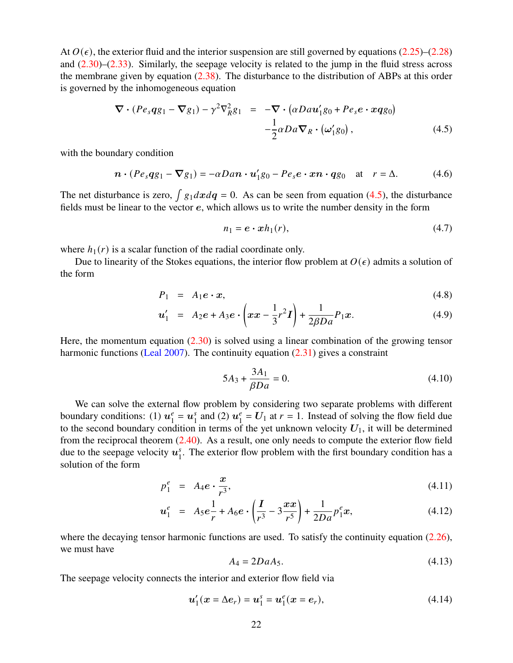At  $O(\epsilon)$ , the exterior fluid and the interior suspension are still governed by equations [\(2.25\)](#page-9-0)–[\(2.28\)](#page-9-0) and [\(2.30\)](#page-9-1)–[\(2.33\)](#page-9-1). Similarly, the seepage velocity is related to the jump in the fluid stress across the membrane given by equation [\(2.38\)](#page-10-3). The disturbance to the distribution of ABPs at this order is governed by the inhomogeneous equation

<span id="page-21-0"></span>
$$
\nabla \cdot (Pe_s qg_1 - \nabla g_1) - \gamma^2 \nabla_R^2 g_1 = -\nabla \cdot (\alpha Dau'_1 g_0 + Pe_s e \cdot x q g_0)
$$
  

$$
-\frac{1}{2} \alpha D a \nabla_R \cdot (\omega'_1 g_0), \qquad (4.5)
$$

with the boundary condition

$$
\boldsymbol{n} \cdot (P e_s q g_1 - \boldsymbol{\nabla} g_1) = -\alpha D a \boldsymbol{n} \cdot \boldsymbol{u}_1' g_0 - P e_s \boldsymbol{e} \cdot \boldsymbol{x} \boldsymbol{n} \cdot \boldsymbol{q} g_0 \quad \text{at} \quad r = \Delta. \tag{4.6}
$$

The net disturbance is zero,  $\int g_1 dx dq = 0$ . As can be seen from equation [\(4.5\)](#page-21-0), the disturbance fields must be linear to the vector e, which allows us to write the number density in the form

<span id="page-21-4"></span>
$$
n_1 = \mathbf{e} \cdot \mathbf{x} h_1(r), \tag{4.7}
$$

where  $h_1(r)$  is a scalar function of the radial coordinate only.

Due to linearity of the Stokes equations, the interior flow problem at  $O(\epsilon)$  admits a solution of the form

$$
P_1 = A_1 e \cdot x, \tag{4.8}
$$

$$
u'_1 = A_2 e + A_3 e \cdot \left( x x - \frac{1}{3} r^2 I \right) + \frac{1}{2\beta Da} P_1 x. \tag{4.9}
$$

Here, the momentum equation  $(2.30)$  is solved using a linear combination of the growing tensor harmonic functions [\(Leal](#page-28-9) [2007\)](#page-28-9). The continuity equation  $(2.31)$  gives a constraint

<span id="page-21-2"></span>
$$
5A_3 + \frac{3A_1}{\beta Da} = 0.
$$
 (4.10)

We can solve the external flow problem by considering two separate problems with different boundary conditions: (1)  $u_1^e$  $\mathbf{u}_1^e = \mathbf{u}_1^s$  $\int_1^s$  and (2)  $u_1^e$  $\frac{e}{1} = U_1$  at  $r = 1$ . Instead of solving the flow field due to the second boundary condition in terms of the yet unknown velocity  $U_1$ , it will be determined from the reciprocal theorem [\(2.40\)](#page-10-1). As a result, one only needs to compute the exterior flow field due to the seepage velocity  $\mathbf{u}_1^s$  $\frac{s}{1}$ . The exterior flow problem with the first boundary condition has a solution of the form

<span id="page-21-1"></span>
$$
p_1^e = A_4 e \cdot \frac{x}{r^3},\tag{4.11}
$$

$$
u_1^e = A_5 e \frac{1}{r} + A_6 e \cdot \left(\frac{I}{r^3} - 3\frac{xx}{r^5}\right) + \frac{1}{2Da} p_1^e x,\tag{4.12}
$$

where the decaying tensor harmonic functions are used. To satisfy the continuity equation [\(2.26\)](#page-9-0), we must have

<span id="page-21-3"></span>
$$
A_4 = 2DaA_5. \tag{4.13}
$$

The seepage velocity connects the interior and exterior flow field via

$$
u'_{1}(x = \Delta e_{r}) = u_{1}^{s} = u_{1}^{e}(x = e_{r}), \qquad (4.14)
$$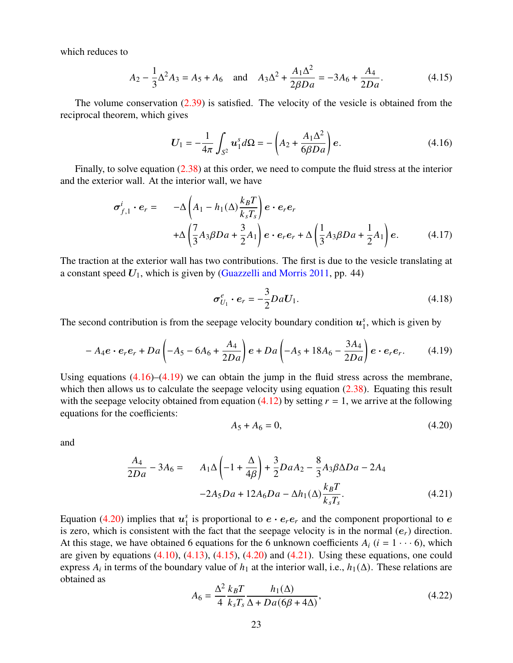which reduces to

<span id="page-22-3"></span>
$$
A_2 - \frac{1}{3}\Delta^2 A_3 = A_5 + A_6 \quad \text{and} \quad A_3 \Delta^2 + \frac{A_1 \Delta^2}{2\beta Da} = -3A_6 + \frac{A_4}{2Da}.\tag{4.15}
$$

The volume conservation  $(2.39)$  is satisfied. The velocity of the vesicle is obtained from the reciprocal theorem, which gives

<span id="page-22-0"></span>
$$
U_1 = -\frac{1}{4\pi} \int_{S^2} u_1^s d\Omega = -\left(A_2 + \frac{A_1 \Delta^2}{6\beta Da}\right) e.
$$
 (4.16)

Finally, to solve equation [\(2.38\)](#page-10-3) at this order, we need to compute the fluid stress at the interior and the exterior wall. At the interior wall, we have

$$
\sigma_{f,1}^{i} \cdot e_r = -\Delta \left( A_1 - h_1(\Delta) \frac{k_B T}{k_s T_s} \right) e \cdot e_r e_r
$$
  
+  $\Delta \left( \frac{7}{3} A_3 \beta D a + \frac{3}{2} A_1 \right) e \cdot e_r e_r + \Delta \left( \frac{1}{3} A_3 \beta D a + \frac{1}{2} A_1 \right) e.$  (4.17)

The traction at the exterior wall has two contributions. The first is due to the vesicle translating at a constant speed  $U_1$ , which is given by [\(Guazzelli and Morris](#page-28-10) [2011,](#page-28-10) pp. 44)

$$
\boldsymbol{\sigma}_{U_1}^e \cdot \boldsymbol{e}_r = -\frac{3}{2} D a U_1. \tag{4.18}
$$

The second contribution is from the seepage velocity boundary condition  $u_1^s$  $_1^s$ , which is given by

<span id="page-22-1"></span>
$$
-A_4e \cdot e_re_r + Da\left(-A_5 - 6A_6 + \frac{A_4}{2Da}\right)e + Da\left(-A_5 + 18A_6 - \frac{3A_4}{2Da}\right)e \cdot e_re_r. \tag{4.19}
$$

Using equations  $(4.16)$ – $(4.19)$  we can obtain the jump in the fluid stress across the membrane, which then allows us to calculate the seepage velocity using equation [\(2.38\)](#page-10-3). Equating this result with the seepage velocity obtained from equation [\(4.12\)](#page-21-1) by setting  $r = 1$ , we arrive at the following equations for the coefficients:

<span id="page-22-2"></span>
$$
A_5 + A_6 = 0,\t(4.20)
$$

and

<span id="page-22-4"></span>
$$
\frac{A_4}{2Da} - 3A_6 = A_1 \Delta \left( -1 + \frac{\Delta}{4\beta} \right) + \frac{3}{2} Da A_2 - \frac{8}{3} A_3 \beta \Delta Da - 2A_4
$$

$$
-2A_5 Da + 12A_6 Da - \Delta h_1(\Delta) \frac{k_B T}{k_s T_s}.
$$
(4.21)

Equation [\(4.20\)](#page-22-2) implies that  $u_1^s$  $\frac{s}{1}$  is proportional to  $e \cdot e_r e_r$  and the component proportional to  $e$ is zero, which is consistent with the fact that the seepage velocity is in the normal  $(e<sub>r</sub>)$  direction. At this stage, we have obtained 6 equations for the 6 unknown coefficients  $A_i$  ( $i = 1 \cdots 6$ ), which are given by equations  $(4.10)$ ,  $(4.13)$ ,  $(4.15)$ ,  $(4.20)$  and  $(4.21)$ . Using these equations, one could express  $A_i$  in terms of the boundary value of  $h_1$  at the interior wall, i.e.,  $h_1(\Delta)$ . These relations are obtained as

$$
A_6 = \frac{\Delta^2}{4} \frac{k_B T}{k_s T_s} \frac{h_1(\Delta)}{\Delta + D a (6\beta + 4\Delta)},
$$
\n(4.22)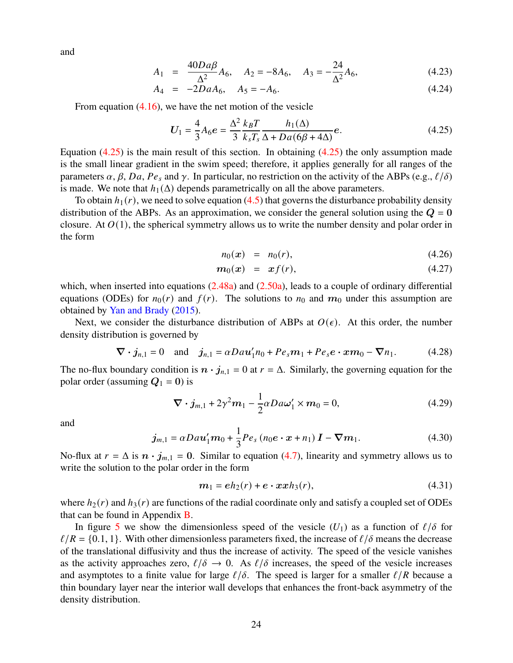and

$$
A_1 = \frac{40Da\beta}{\Delta^2}A_6, \quad A_2 = -8A_6, \quad A_3 = -\frac{24}{\Delta^2}A_6,\tag{4.23}
$$

$$
A_4 = -2DaA_6, \quad A_5 = -A_6. \tag{4.24}
$$

From equation [\(4.16\)](#page-22-0), we have the net motion of the vesicle

<span id="page-23-0"></span>
$$
U_1 = \frac{4}{3} A_6 e = \frac{\Delta^2}{3} \frac{k_B T}{k_s T_s} \frac{h_1(\Delta)}{\Delta + D a (6\beta + 4\Delta)} e.
$$
 (4.25)

Equation  $(4.25)$  is the main result of this section. In obtaining  $(4.25)$  the only assumption made is the small linear gradient in the swim speed; therefore, it applies generally for all ranges of the parameters  $\alpha$ ,  $\beta$ ,  $Da$ ,  $Pe_s$  and  $\gamma$ . In particular, no restriction on the activity of the ABPs (e.g.,  $\ell/\delta$ ) is made. We note that  $h_1(\Delta)$  depends parametrically on all the above parameters.

To obtain  $h_1(r)$ , we need to solve equation [\(4.5\)](#page-21-0) that governs the disturbance probability density distribution of the ABPs. As an approximation, we consider the general solution using the  $Q = 0$ closure. At  $O(1)$ , the spherical symmetry allows us to write the number density and polar order in the form

$$
n_0(x) = n_0(r), \t\t(4.26)
$$

$$
m_0(x) = x f(r), \qquad (4.27)
$$

which, when inserted into equations  $(2.48a)$  and  $(2.50a)$ , leads to a couple of ordinary differential equations (ODEs) for  $n_0(r)$  and  $f(r)$ . The solutions to  $n_0$  and  $m_0$  under this assumption are obtained by [Yan and Brady](#page-31-0) [\(2015\)](#page-31-0).

Next, we consider the disturbance distribution of ABPs at  $O(\epsilon)$ . At this order, the number density distribution is governed by

$$
\nabla \cdot \mathbf{j}_{n,1} = 0
$$
 and  $\mathbf{j}_{n,1} = \alpha D a \mathbf{u}'_1 n_0 + P e_s \mathbf{m}_1 + P e_s \mathbf{e} \cdot \mathbf{m}_0 - \nabla n_1.$  (4.28)

The no-flux boundary condition is  $\mathbf{n} \cdot \mathbf{j}_{n,1} = 0$  at  $r = \Delta$ . Similarly, the governing equation for the polar order (assuming  $Q_1 = 0$ ) is

$$
\nabla \cdot \boldsymbol{j}_{m,1} + 2\gamma^2 \boldsymbol{m}_1 - \frac{1}{2} \alpha D a \boldsymbol{\omega}_1' \times \boldsymbol{m}_0 = 0, \qquad (4.29)
$$

and

$$
\boldsymbol{j}_{m,1} = \alpha D a \boldsymbol{u}'_1 \boldsymbol{m}_0 + \frac{1}{3} P \boldsymbol{e}_s \left( n_0 \boldsymbol{e} \cdot \boldsymbol{x} + n_1 \right) \boldsymbol{I} - \boldsymbol{\nabla} \boldsymbol{m}_1. \tag{4.30}
$$

No-flux at  $r = \Delta$  is  $n \cdot j_{m,1} = 0$ . Similar to equation [\(4.7\)](#page-21-4), linearity and symmetry allows us to write the solution to the polar order in the form

$$
m_1 = eh_2(r) + e \cdot x x h_3(r), \qquad (4.31)
$$

where  $h_2(r)$  and  $h_3(r)$  are functions of the radial coordinate only and satisfy a coupled set of ODEs that can be found in Appendix [B.](#page-26-0)

In figure [5](#page-24-1) we show the dimensionless speed of the vesicle  $(U_1)$  as a function of  $\ell/\delta$  for  $\ell/R = \{0.1, 1\}$ . With other dimensionless parameters fixed, the increase of  $\ell/\delta$  means the decrease of the translational diffusivity and thus the increase of activity. The speed of the vesicle vanishes as the activity approaches zero,  $\ell/\delta \to 0$ . As  $\ell/\delta$  increases, the speed of the vesicle increases and asymptotes to a finite value for large  $\ell/\delta$ . The speed is larger for a smaller  $\ell/R$  because a thin boundary layer near the interior wall develops that enhances the front-back asymmetry of the density distribution.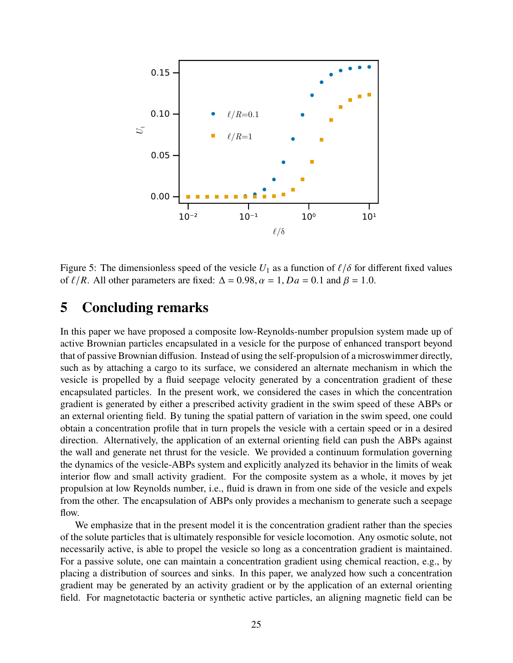

<span id="page-24-1"></span>Figure 5: The dimensionless speed of the vesicle  $U_1$  as a function of  $\ell/\delta$  for different fixed values of  $\ell/R$ . All other parameters are fixed:  $\Delta = 0.98$ ,  $\alpha = 1$ ,  $Da = 0.1$  and  $\beta = 1.0$ .

## <span id="page-24-0"></span>**5 Concluding remarks**

In this paper we have proposed a composite low-Reynolds-number propulsion system made up of active Brownian particles encapsulated in a vesicle for the purpose of enhanced transport beyond that of passive Brownian diffusion. Instead of using the self-propulsion of a microswimmer directly, such as by attaching a cargo to its surface, we considered an alternate mechanism in which the vesicle is propelled by a fluid seepage velocity generated by a concentration gradient of these encapsulated particles. In the present work, we considered the cases in which the concentration gradient is generated by either a prescribed activity gradient in the swim speed of these ABPs or an external orienting field. By tuning the spatial pattern of variation in the swim speed, one could obtain a concentration profile that in turn propels the vesicle with a certain speed or in a desired direction. Alternatively, the application of an external orienting field can push the ABPs against the wall and generate net thrust for the vesicle. We provided a continuum formulation governing the dynamics of the vesicle-ABPs system and explicitly analyzed its behavior in the limits of weak interior flow and small activity gradient. For the composite system as a whole, it moves by jet propulsion at low Reynolds number, i.e., fluid is drawn in from one side of the vesicle and expels from the other. The encapsulation of ABPs only provides a mechanism to generate such a seepage flow.

We emphasize that in the present model it is the concentration gradient rather than the species of the solute particles that is ultimately responsible for vesicle locomotion. Any osmotic solute, not necessarily active, is able to propel the vesicle so long as a concentration gradient is maintained. For a passive solute, one can maintain a concentration gradient using chemical reaction, e.g., by placing a distribution of sources and sinks. In this paper, we analyzed how such a concentration gradient may be generated by an activity gradient or by the application of an external orienting field. For magnetotactic bacteria or synthetic active particles, an aligning magnetic field can be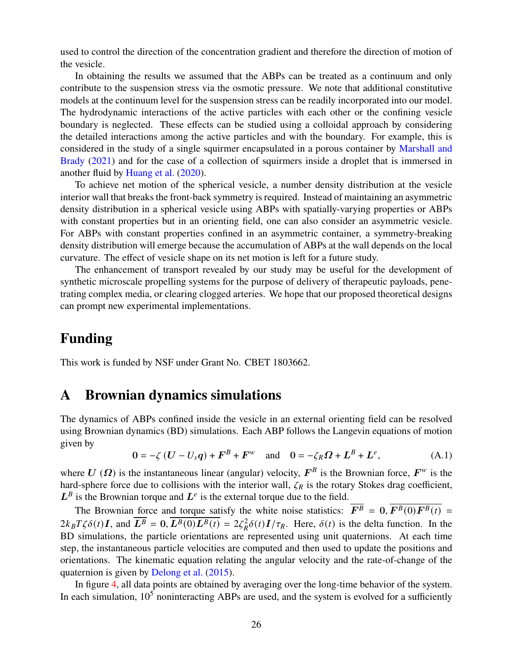used to control the direction of the concentration gradient and therefore the direction of motion of the vesicle.

In obtaining the results we assumed that the ABPs can be treated as a continuum and only contribute to the suspension stress via the osmotic pressure. We note that additional constitutive models at the continuum level for the suspension stress can be readily incorporated into our model. The hydrodynamic interactions of the active particles with each other or the confining vesicle boundary is neglected. These effects can be studied using a colloidal approach by considering the detailed interactions among the active particles and with the boundary. For example, this is considered in the study of a single squirmer encapsulated in a porous container by [Marshall and](#page-29-6) [Brady](#page-29-6) [\(2021\)](#page-29-6) and for the case of a collection of squirmers inside a droplet that is immersed in another fluid by [Huang et al.](#page-28-11) [\(2020\)](#page-28-11).

To achieve net motion of the spherical vesicle, a number density distribution at the vesicle interior wall that breaks the front-back symmetry is required. Instead of maintaining an asymmetric density distribution in a spherical vesicle using ABPs with spatially-varying properties or ABPs with constant properties but in an orienting field, one can also consider an asymmetric vesicle. For ABPs with constant properties confined in an asymmetric container, a symmetry-breaking density distribution will emerge because the accumulation of ABPs at the wall depends on the local curvature. The effect of vesicle shape on its net motion is left for a future study.

The enhancement of transport revealed by our study may be useful for the development of synthetic microscale propelling systems for the purpose of delivery of therapeutic payloads, penetrating complex media, or clearing clogged arteries. We hope that our proposed theoretical designs can prompt new experimental implementations.

### **Funding**

This work is funded by NSF under Grant No. CBET 1803662.

### <span id="page-25-0"></span>**A Brownian dynamics simulations**

The dynamics of ABPs confined inside the vesicle in an external orienting field can be resolved using Brownian dynamics (BD) simulations. Each ABP follows the Langevin equations of motion given by

$$
0 = -\zeta (U - U_s q) + F^B + F^w \quad \text{and} \quad 0 = -\zeta_R \Omega + L^B + L^e,
$$
 (A.1)

where U ( $\Omega$ ) is the instantaneous linear (angular) velocity,  $F^B$  is the Brownian force,  $F^w$  is the hard-sphere force due to collisions with the interior wall,  $\zeta_R$  is the rotary Stokes drag coefficient,  $L^B$  is the Brownian torque and  $L^e$  is the external torque due to the field.

The Brownian force and torque satisfy the white noise statistics:  $\overline{F^B} = 0$ ,  $\overline{F^B(0)F^B(t)} =$  $2k_B T \zeta \delta(t) I$ , and  $\overline{L^B} = 0$ ,  $\overline{L^B(0)L^B(t)} = 2\zeta_R^2 \delta(t)I/\tau_R$ . Here,  $\delta(t)$  is the delta function. In the BD simulations, the particle orientations are represented using unit quaternions. At each time step, the instantaneous particle velocities are computed and then used to update the positions and orientations. The kinematic equation relating the angular velocity and the rate-of-change of the quaternion is given by [Delong et al.](#page-27-5) [\(2015\)](#page-27-5).

In figure [4,](#page-19-0) all data points are obtained by averaging over the long-time behavior of the system. In each simulation,  $10^5$  noninteracting ABPs are used, and the system is evolved for a sufficiently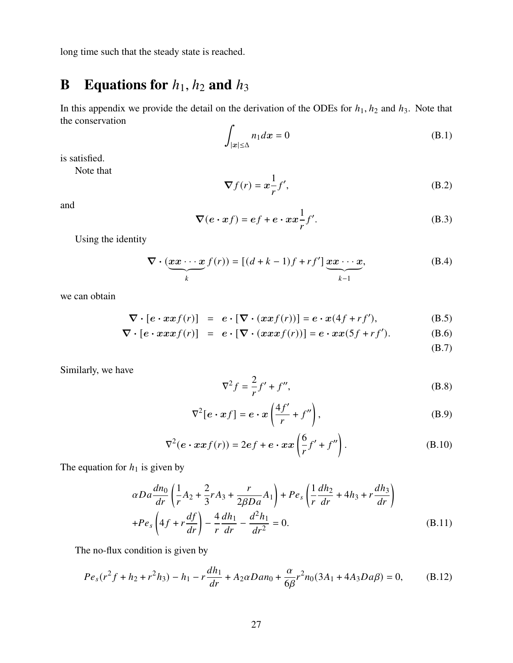long time such that the steady state is reached.

# <span id="page-26-0"></span>**B** Equations for  $h_1$ ,  $h_2$  and  $h_3$

In this appendix we provide the detail on the derivation of the ODEs for  $h_1$ ,  $h_2$  and  $h_3$ . Note that the conservation

$$
\int_{|\mathbf{x}| \le \Delta} n_1 dx = 0 \tag{B.1}
$$

is satisfied.

Note that

$$
\nabla f(r) = x \frac{1}{r} f', \tag{B.2}
$$

and

$$
\nabla(e \cdot xf) = ef + e \cdot xx \frac{1}{r}f'.
$$
 (B.3)

Using the identity

$$
\nabla \cdot (\underbrace{\boldsymbol{x} \boldsymbol{x} \cdots \boldsymbol{x}}_k f(r)) = [(d+k-1)f + rf'] \underbrace{\boldsymbol{x} \boldsymbol{x} \cdots \boldsymbol{x}}_{k-1},
$$
 (B.4)

we can obtain

$$
\nabla \cdot [e \cdot xxf(r)] = e \cdot [\nabla \cdot (xxf(r))] = e \cdot x(4f + rf'), \tag{B.5}
$$

$$
\nabla \cdot [e \cdot x x x f(r)] = e \cdot [\nabla \cdot (x x x f(r))] = e \cdot x x (5f + rf'). \tag{B.6}
$$

(B.7)

Similarly, we have

$$
\nabla^2 f = \frac{2}{r} f' + f'' , \tag{B.8}
$$

$$
\nabla^2[e \cdot xf] = e \cdot x \left(\frac{4f'}{r} + f''\right),\tag{B.9}
$$

$$
\nabla^2(e \cdot xxf(r)) = 2ef + e \cdot xx\left(\frac{6}{r}f' + f''\right). \tag{B.10}
$$

The equation for  $h_1$  is given by

$$
\alpha Da \frac{dn_0}{dr} \left( \frac{1}{r} A_2 + \frac{2}{3} r A_3 + \frac{r}{2\beta Da} A_1 \right) + Pe_s \left( \frac{1}{r} \frac{dh_2}{dr} + 4h_3 + r \frac{dh_3}{dr} \right) + Pe_s \left( 4f + r \frac{df}{dr} \right) - \frac{4}{r} \frac{dh_1}{dr} - \frac{d^2 h_1}{dr^2} = 0.
$$
 (B.11)

The no-flux condition is given by

$$
Pe_s(r^2f + h_2 + r^2h_3) - h_1 - r\frac{dh_1}{dr} + A_2\alpha Dan_0 + \frac{\alpha}{6\beta}r^2n_0(3A_1 + 4A_3Da\beta) = 0,\tag{B.12}
$$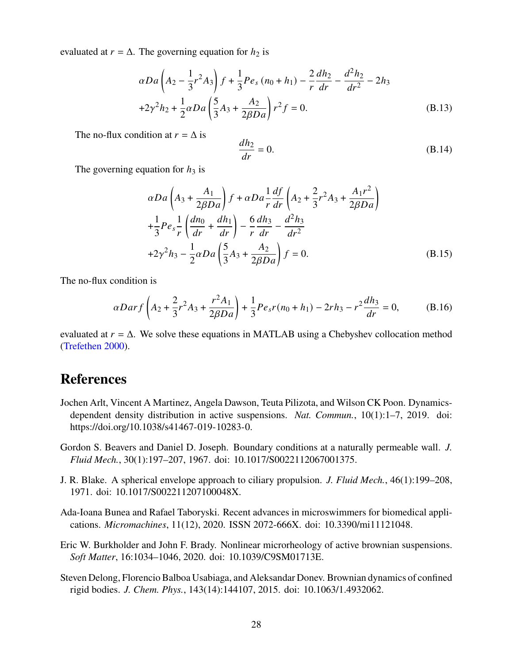evaluated at  $r = \Delta$ . The governing equation for  $h_2$  is

$$
\alpha Da \left(A_2 - \frac{1}{3}r^2 A_3\right) f + \frac{1}{3}Pe_s (n_0 + h_1) - \frac{2}{r} \frac{dh_2}{dr} - \frac{d^2 h_2}{dr^2} - 2h_3
$$
  
+2 $\gamma^2 h_2 + \frac{1}{2} \alpha Da \left(\frac{5}{3}A_3 + \frac{A_2}{2\beta Da}\right) r^2 f = 0.$  (B.13)

The no-flux condition at  $r = \Delta$  is

$$
\frac{dh_2}{dr} = 0.\tag{B.14}
$$

The governing equation for  $h_3$  is

$$
\alpha Da \left( A_3 + \frac{A_1}{2\beta Da} \right) f + \alpha Da \frac{1}{r} \frac{df}{dr} \left( A_2 + \frac{2}{3} r^2 A_3 + \frac{A_1 r^2}{2\beta Da} \right) + \frac{1}{3} Pe_s \frac{1}{r} \left( \frac{dn_0}{dr} + \frac{dh_1}{dr} \right) - \frac{6}{r} \frac{dh_3}{dr} - \frac{d^2 h_3}{dr^2} + 2\gamma^2 h_3 - \frac{1}{2} \alpha Da \left( \frac{5}{3} A_3 + \frac{A_2}{2\beta Da} \right) f = 0.
$$
 (B.15)

The no-flux condition is

$$
\alpha Darf\left(A_2 + \frac{2}{3}r^2A_3 + \frac{r^2A_1}{2\beta Da}\right) + \frac{1}{3}Pe_s r(n_0 + h_1) - 2rh_3 - r^2\frac{dh_3}{dr} = 0,\tag{B.16}
$$

evaluated at  $r = \Delta$ . We solve these equations in MATLAB using a Chebyshev collocation method [\(Trefethen](#page-30-13) [2000\)](#page-30-13).

### **References**

- <span id="page-27-1"></span>Jochen Arlt, Vincent A Martinez, Angela Dawson, Teuta Pilizota, and Wilson CK Poon. Dynamicsdependent density distribution in active suspensions. *Nat. Commun.*, 10(1):1–7, 2019. doi: https://doi.org/10.1038/s41467-019-10283-0.
- <span id="page-27-3"></span>Gordon S. Beavers and Daniel D. Joseph. Boundary conditions at a naturally permeable wall. *J. Fluid Mech.*, 30(1):197–207, 1967. doi: 10.1017/S0022112067001375.
- <span id="page-27-2"></span>J. R. Blake. A spherical envelope approach to ciliary propulsion. *J. Fluid Mech.*, 46(1):199–208, 1971. doi: 10.1017/S002211207100048X.
- <span id="page-27-0"></span>Ada-Ioana Bunea and Rafael Taboryski. Recent advances in microswimmers for biomedical applications. *Micromachines*, 11(12), 2020. ISSN 2072-666X. doi: 10.3390/mi11121048.
- <span id="page-27-4"></span>Eric W. Burkholder and John F. Brady. Nonlinear microrheology of active brownian suspensions. *Soft Matter*, 16:1034–1046, 2020. doi: 10.1039/C9SM01713E.
- <span id="page-27-5"></span>Steven Delong, Florencio Balboa Usabiaga, and Aleksandar Donev. Brownian dynamics of confined rigid bodies. *J. Chem. Phys.*, 143(14):144107, 2015. doi: 10.1063/1.4932062.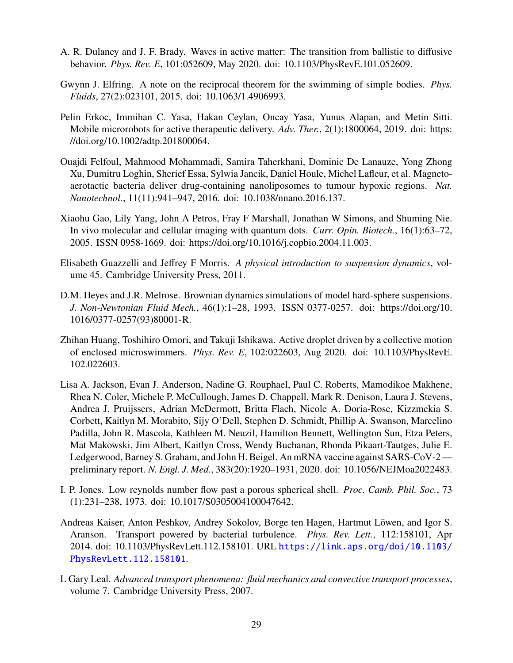- <span id="page-28-7"></span>A. R. Dulaney and J. F. Brady. Waves in active matter: The transition from ballistic to diffusive behavior. *Phys. Rev. E*, 101:052609, May 2020. doi: 10.1103/PhysRevE.101.052609.
- <span id="page-28-6"></span>Gwynn J. Elfring. A note on the reciprocal theorem for the swimming of simple bodies. *Phys. Fluids*, 27(2):023101, 2015. doi: 10.1063/1.4906993.
- <span id="page-28-2"></span>Pelin Erkoc, Immihan C. Yasa, Hakan Ceylan, Oncay Yasa, Yunus Alapan, and Metin Sitti. Mobile microrobots for active therapeutic delivery. *Adv. Ther.*, 2(1):1800064, 2019. doi: https: //doi.org/10.1002/adtp.201800064.
- <span id="page-28-3"></span>Ouajdi Felfoul, Mahmood Mohammadi, Samira Taherkhani, Dominic De Lanauze, Yong Zhong Xu, Dumitru Loghin, Sherief Essa, Sylwia Jancik, Daniel Houle, Michel Lafleur, et al. Magnetoaerotactic bacteria deliver drug-containing nanoliposomes to tumour hypoxic regions. *Nat. Nanotechnol.*, 11(11):941–947, 2016. doi: 10.1038/nnano.2016.137.
- <span id="page-28-0"></span>Xiaohu Gao, Lily Yang, John A Petros, Fray F Marshall, Jonathan W Simons, and Shuming Nie. In vivo molecular and cellular imaging with quantum dots. *Curr. Opin. Biotech.*, 16(1):63–72, 2005. ISSN 0958-1669. doi: https://doi.org/10.1016/j.copbio.2004.11.003.
- <span id="page-28-10"></span>Elisabeth Guazzelli and Jeffrey F Morris. *A physical introduction to suspension dynamics*, volume 45. Cambridge University Press, 2011.
- <span id="page-28-8"></span>D.M. Heyes and J.R. Melrose. Brownian dynamics simulations of model hard-sphere suspensions. *J. Non-Newtonian Fluid Mech.*, 46(1):1–28, 1993. ISSN 0377-0257. doi: https://doi.org/10. 1016/0377-0257(93)80001-R.
- <span id="page-28-11"></span>Zhihan Huang, Toshihiro Omori, and Takuji Ishikawa. Active droplet driven by a collective motion of enclosed microswimmers. *Phys. Rev. E*, 102:022603, Aug 2020. doi: 10.1103/PhysRevE. 102.022603.
- <span id="page-28-1"></span>Lisa A. Jackson, Evan J. Anderson, Nadine G. Rouphael, Paul C. Roberts, Mamodikoe Makhene, Rhea N. Coler, Michele P. McCullough, James D. Chappell, Mark R. Denison, Laura J. Stevens, Andrea J. Pruijssers, Adrian McDermott, Britta Flach, Nicole A. Doria-Rose, Kizzmekia S. Corbett, Kaitlyn M. Morabito, Sijy O'Dell, Stephen D. Schmidt, Phillip A. Swanson, Marcelino Padilla, John R. Mascola, Kathleen M. Neuzil, Hamilton Bennett, Wellington Sun, Etza Peters, Mat Makowski, Jim Albert, Kaitlyn Cross, Wendy Buchanan, Rhonda Pikaart-Tautges, Julie E. Ledgerwood, Barney S. Graham, and John H. Beigel. An mRNA vaccine against SARS-CoV-2 preliminary report. *N. Engl. J. Med.*, 383(20):1920–1931, 2020. doi: 10.1056/NEJMoa2022483.
- <span id="page-28-5"></span>I. P. Jones. Low reynolds number flow past a porous spherical shell. *Proc. Camb. Phil. Soc.*, 73 (1):231–238, 1973. doi: 10.1017/S0305004100047642.
- <span id="page-28-4"></span>Andreas Kaiser, Anton Peshkov, Andrey Sokolov, Borge ten Hagen, Hartmut Löwen, and Igor S. Aranson. Transport powered by bacterial turbulence. *Phys. Rev. Lett.*, 112:158101, Apr 2014. doi: 10.1103/PhysRevLett.112.158101. URL [https://link.aps.org/doi/10.1103/](https://link.aps.org/doi/10.1103/PhysRevLett.112.158101) [PhysRevLett.112.158101](https://link.aps.org/doi/10.1103/PhysRevLett.112.158101).
- <span id="page-28-9"></span>L Gary Leal. *Advanced transport phenomena: fluid mechanics and convective transport processes*, volume 7. Cambridge University Press, 2007.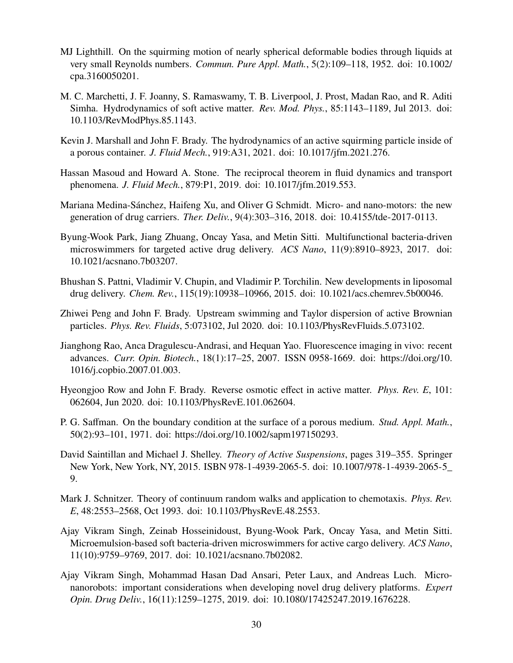- <span id="page-29-10"></span>MJ Lighthill. On the squirming motion of nearly spherical deformable bodies through liquids at very small Reynolds numbers. *Commun. Pure Appl. Math.*, 5(2):109–118, 1952. doi: 10.1002/ cpa.3160050201.
- <span id="page-29-9"></span>M. C. Marchetti, J. F. Joanny, S. Ramaswamy, T. B. Liverpool, J. Prost, Madan Rao, and R. Aditi Simha. Hydrodynamics of soft active matter. *Rev. Mod. Phys.*, 85:1143–1189, Jul 2013. doi: 10.1103/RevModPhys.85.1143.
- <span id="page-29-6"></span>Kevin J. Marshall and John F. Brady. The hydrodynamics of an active squirming particle inside of a porous container. *J. Fluid Mech.*, 919:A31, 2021. doi: 10.1017/jfm.2021.276.
- <span id="page-29-13"></span>Hassan Masoud and Howard A. Stone. The reciprocal theorem in fluid dynamics and transport phenomena. *J. Fluid Mech.*, 879:P1, 2019. doi: 10.1017/jfm.2019.553.
- <span id="page-29-2"></span>Mariana Medina-Sánchez, Haifeng Xu, and Oliver G Schmidt. Micro- and nano-motors: the new generation of drug carriers. *Ther. Deliv.*, 9(4):303–316, 2018. doi: 10.4155/tde-2017-0113.
- <span id="page-29-4"></span>Byung-Wook Park, Jiang Zhuang, Oncay Yasa, and Metin Sitti. Multifunctional bacteria-driven microswimmers for targeted active drug delivery. *ACS Nano*, 11(9):8910–8923, 2017. doi: 10.1021/acsnano.7b03207.
- <span id="page-29-1"></span>Bhushan S. Pattni, Vladimir V. Chupin, and Vladimir P. Torchilin. New developments in liposomal drug delivery. *Chem. Rev.*, 115(19):10938–10966, 2015. doi: 10.1021/acs.chemrev.5b00046.
- <span id="page-29-14"></span>Zhiwei Peng and John F. Brady. Upstream swimming and Taylor dispersion of active Brownian particles. *Phys. Rev. Fluids*, 5:073102, Jul 2020. doi: 10.1103/PhysRevFluids.5.073102.
- <span id="page-29-0"></span>Jianghong Rao, Anca Dragulescu-Andrasi, and Hequan Yao. Fluorescence imaging in vivo: recent advances. *Curr. Opin. Biotech.*, 18(1):17–25, 2007. ISSN 0958-1669. doi: https://doi.org/10. 1016/j.copbio.2007.01.003.
- <span id="page-29-8"></span>Hyeongjoo Row and John F. Brady. Reverse osmotic effect in active matter. *Phys. Rev. E*, 101: 062604, Jun 2020. doi: 10.1103/PhysRevE.101.062604.
- <span id="page-29-12"></span>P. G. Saffman. On the boundary condition at the surface of a porous medium. *Stud. Appl. Math.*, 50(2):93–101, 1971. doi: https://doi.org/10.1002/sapm197150293.
- <span id="page-29-11"></span>David Saintillan and Michael J. Shelley. *Theory of Active Suspensions*, pages 319–355. Springer New York, New York, NY, 2015. ISBN 978-1-4939-2065-5. doi: 10.1007/978-1-4939-2065-5\_ 9.
- <span id="page-29-7"></span>Mark J. Schnitzer. Theory of continuum random walks and application to chemotaxis. *Phys. Rev. E*, 48:2553–2568, Oct 1993. doi: 10.1103/PhysRevE.48.2553.
- <span id="page-29-5"></span>Ajay Vikram Singh, Zeinab Hosseinidoust, Byung-Wook Park, Oncay Yasa, and Metin Sitti. Microemulsion-based soft bacteria-driven microswimmers for active cargo delivery. *ACS Nano*, 11(10):9759–9769, 2017. doi: 10.1021/acsnano.7b02082.
- <span id="page-29-3"></span>Ajay Vikram Singh, Mohammad Hasan Dad Ansari, Peter Laux, and Andreas Luch. Micronanorobots: important considerations when developing novel drug delivery platforms. *Expert Opin. Drug Deliv.*, 16(11):1259–1275, 2019. doi: 10.1080/17425247.2019.1676228.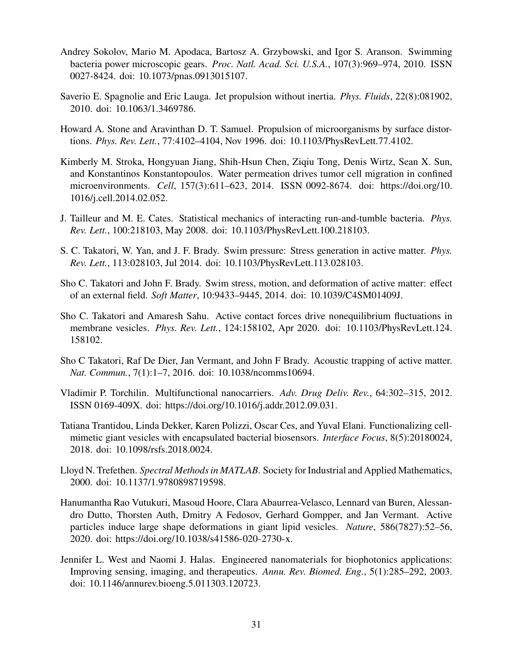- <span id="page-30-10"></span>Andrey Sokolov, Mario M. Apodaca, Bartosz A. Grzybowski, and Igor S. Aranson. Swimming bacteria power microscopic gears. *Proc. Natl. Acad. Sci. U.S.A.*, 107(3):969–974, 2010. ISSN 0027-8424. doi: 10.1073/pnas.0913015107.
- <span id="page-30-12"></span>Saverio E. Spagnolie and Eric Lauga. Jet propulsion without inertia. *Phys. Fluids*, 22(8):081902, 2010. doi: 10.1063/1.3469786.
- <span id="page-30-11"></span>Howard A. Stone and Aravinthan D. T. Samuel. Propulsion of microorganisms by surface distortions. *Phys. Rev. Lett.*, 77:4102–4104, Nov 1996. doi: 10.1103/PhysRevLett.77.4102.
- <span id="page-30-5"></span>Kimberly M. Stroka, Hongyuan Jiang, Shih-Hsun Chen, Ziqiu Tong, Denis Wirtz, Sean X. Sun, and Konstantinos Konstantopoulos. Water permeation drives tumor cell migration in confined microenvironments. *Cell*, 157(3):611–623, 2014. ISSN 0092-8674. doi: https://doi.org/10. 1016/j.cell.2014.02.052.
- <span id="page-30-6"></span>J. Tailleur and M. E. Cates. Statistical mechanics of interacting run-and-tumble bacteria. *Phys. Rev. Lett.*, 100:218103, May 2008. doi: 10.1103/PhysRevLett.100.218103.
- <span id="page-30-7"></span>S. C. Takatori, W. Yan, and J. F. Brady. Swim pressure: Stress generation in active matter. *Phys. Rev. Lett.*, 113:028103, Jul 2014. doi: 10.1103/PhysRevLett.113.028103.
- <span id="page-30-9"></span>Sho C. Takatori and John F. Brady. Swim stress, motion, and deformation of active matter: effect of an external field. *Soft Matter*, 10:9433–9445, 2014. doi: 10.1039/C4SM01409J.
- <span id="page-30-3"></span>Sho C. Takatori and Amaresh Sahu. Active contact forces drive nonequilibrium fluctuations in membrane vesicles. *Phys. Rev. Lett.*, 124:158102, Apr 2020. doi: 10.1103/PhysRevLett.124. 158102.
- <span id="page-30-8"></span>Sho C Takatori, Raf De Dier, Jan Vermant, and John F Brady. Acoustic trapping of active matter. *Nat. Commun.*, 7(1):1–7, 2016. doi: 10.1038/ncomms10694.
- <span id="page-30-1"></span>Vladimir P. Torchilin. Multifunctional nanocarriers. *Adv. Drug Deliv. Rev.*, 64:302–315, 2012. ISSN 0169-409X. doi: https://doi.org/10.1016/j.addr.2012.09.031.
- <span id="page-30-2"></span>Tatiana Trantidou, Linda Dekker, Karen Polizzi, Oscar Ces, and Yuval Elani. Functionalizing cellmimetic giant vesicles with encapsulated bacterial biosensors. *Interface Focus*, 8(5):20180024, 2018. doi: 10.1098/rsfs.2018.0024.
- <span id="page-30-13"></span>Lloyd N. Trefethen. *Spectral Methods in MATLAB*. Society for Industrial and Applied Mathematics, 2000. doi: 10.1137/1.9780898719598.
- <span id="page-30-4"></span>Hanumantha Rao Vutukuri, Masoud Hoore, Clara Abaurrea-Velasco, Lennard van Buren, Alessandro Dutto, Thorsten Auth, Dmitry A Fedosov, Gerhard Gompper, and Jan Vermant. Active particles induce large shape deformations in giant lipid vesicles. *Nature*, 586(7827):52–56, 2020. doi: https://doi.org/10.1038/s41586-020-2730-x.
- <span id="page-30-0"></span>Jennifer L. West and Naomi J. Halas. Engineered nanomaterials for biophotonics applications: Improving sensing, imaging, and therapeutics. *Annu. Rev. Biomed. Eng.*, 5(1):285–292, 2003. doi: 10.1146/annurev.bioeng.5.011303.120723.